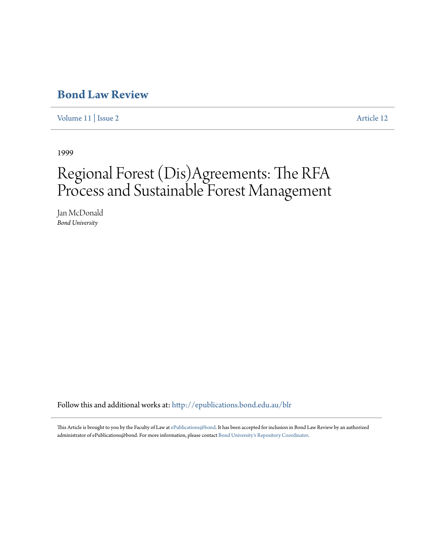## **[Bond Law Review](http://epublications.bond.edu.au/blr?utm_source=epublications.bond.edu.au%2Fblr%2Fvol11%2Fiss2%2F12&utm_medium=PDF&utm_campaign=PDFCoverPages)**

[Volume 11](http://epublications.bond.edu.au/blr/vol11?utm_source=epublications.bond.edu.au%2Fblr%2Fvol11%2Fiss2%2F12&utm_medium=PDF&utm_campaign=PDFCoverPages) | [Issue 2](http://epublications.bond.edu.au/blr/vol11/iss2?utm_source=epublications.bond.edu.au%2Fblr%2Fvol11%2Fiss2%2F12&utm_medium=PDF&utm_campaign=PDFCoverPages) [Article 12](http://epublications.bond.edu.au/blr/vol11/iss2/12?utm_source=epublications.bond.edu.au%2Fblr%2Fvol11%2Fiss2%2F12&utm_medium=PDF&utm_campaign=PDFCoverPages)

1999

# Regional Forest (Dis)Agreements: The RFA Process and Sustainable Forest Management

Jan McDonald *Bond University*

Follow this and additional works at: [http://epublications.bond.edu.au/blr](http://epublications.bond.edu.au/blr?utm_source=epublications.bond.edu.au%2Fblr%2Fvol11%2Fiss2%2F12&utm_medium=PDF&utm_campaign=PDFCoverPages)

This Article is brought to you by the Faculty of Law at [ePublications@bond.](http://epublications.bond.edu.au) It has been accepted for inclusion in Bond Law Review by an authorized administrator of ePublications@bond. For more information, please contact [Bond University's Repository Coordinator](mailto:acass@bond.edu.au).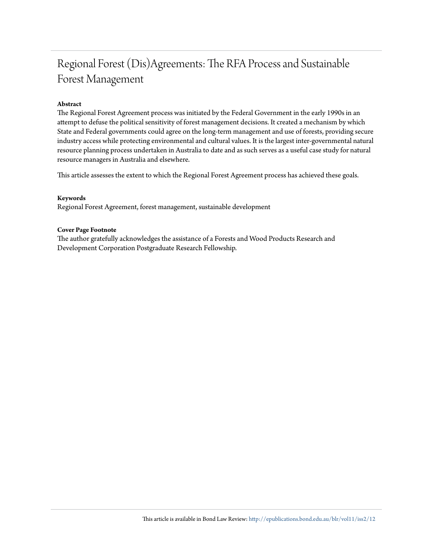## Regional Forest (Dis)Agreements: The RFA Process and Sustainable Forest Management

#### **Abstract**

The Regional Forest Agreement process was initiated by the Federal Government in the early 1990s in an attempt to defuse the political sensitivity of forest management decisions. It created a mechanism by which State and Federal governments could agree on the long-term management and use of forests, providing secure industry access while protecting environmental and cultural values. It is the largest inter-governmental natural resource planning process undertaken in Australia to date and as such serves as a useful case study for natural resource managers in Australia and elsewhere.

This article assesses the extent to which the Regional Forest Agreement process has achieved these goals.

#### **Keywords**

Regional Forest Agreement, forest management, sustainable development

#### **Cover Page Footnote**

The author gratefully acknowledges the assistance of a Forests and Wood Products Research and Development Corporation Postgraduate Research Fellowship.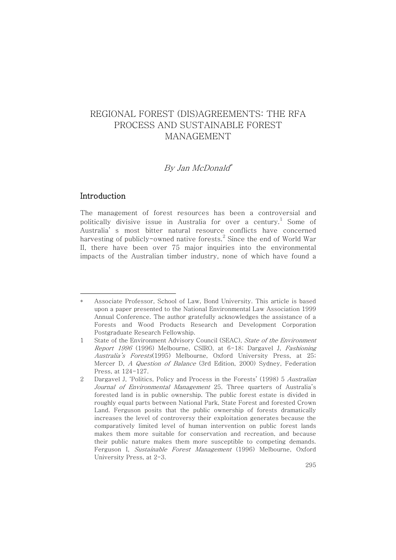## By Jan McDonald \*

## Introduction

The management of forest resources has been a controversial and politically divisive issue in Australia for over a century. $^{\rm l}$  Some of Australia' s most bitter natural resource conflicts have concerned harvesting of publicly-owned native forests.<sup>2</sup> Since the end of World War II, there have been over 75 major inquiries into the environmental impacts of the Australian timber industry, none of which have found a

Associate Professor, School of Law, Bond University. This article is based upon a paper presented to the National Environmental Law Association 1999 Annual Conference. The author gratefully acknowledges the assistance of a Forests and Wood Products Research and Development Corporation Postgraduate Research Fellowship.

<sup>1</sup> State of the Environment Advisory Council (SEAC), State of the Environment Report 1996 (1996) Melbourne, CSIRO, at 6-18; Dargavel J, Fashioning Australia's Forests(1995) Melbourne, Oxford University Press, at 25; Mercer D, A Question of Balance (3rd Edition, 2000) Sydney, Federation Press, at 124-127.

<sup>2</sup> Dargavel J, 'Politics, Policy and Process in the Forests' (1998) 5 Australian Journal of Environmental Management 25. Three quarters of Australia's forested land is in public ownership. The public forest estate is divided in roughly equal parts between National Park, State Forest and forested Crown Land. Ferguson posits that the public ownership of forests dramatically increases the level of controversy their exploitation generates because the comparatively limited level of human intervention on public forest lands makes them more suitable for conservation and recreation, and because their public nature makes them more susceptible to competing demands. Ferguson I, Sustainable Forest Management (1996) Melbourne, Oxford University Press, at 2-3.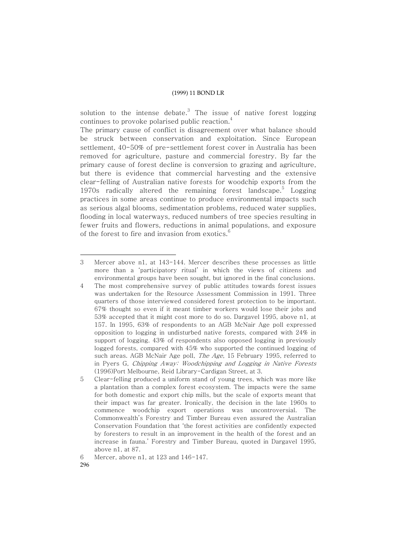solution to the intense debate. $^3$  The issue of native forest logging continues to provoke polarised public reaction. $^{\rm 4}$ 

The primary cause of conflict is disagreement over what balance should be struck between conservation and exploitation. Since European settlement, 40-50% of pre-settlement forest cover in Australia has been removed for agriculture, pasture and commercial forestry. By far the primary cause of forest decline is conversion to grazing and agriculture, but there is evidence that commercial harvesting and the extensive clear-felling of Australian native forests for woodchip exports from the 1970s radically altered the remaining forest landscape.<sup>5</sup> Logging practices in some areas continue to produce environmental impacts such as serious algal blooms, sedimentation problems, reduced water supplies, flooding in local waterways, reduced numbers of tree species resulting in fewer fruits and flowers, reductions in animal populations, and exposure of the forest to fire and invasion from exotics. $^6$ 

<sup>3</sup> Mercer above n1, at 143-144. Mercer describes these processes as little more than a 'participatory ritual' in which the views of citizens and environmental groups have been sought, but ignored in the final conclusions.

<sup>4</sup> The most comprehensive survey of public attitudes towards forest issues was undertaken for the Resource Assessment Commission in 1991. Three quarters of those interviewed considered forest protection to be important. 67% thought so even if it meant timber workers would lose their jobs and 53% accepted that it might cost more to do so. Dargavel 1995, above n1, at 157. In 1995, 63% of respondents to an AGB McNair Age poll expressed opposition to logging in undisturbed native forests, compared with 24% in support of logging. 43% of respondents also opposed logging in previously logged forests, compared with 45% who supported the continued logging of such areas. AGB McNair Age poll, *The Age*, 15 February 1995, referred to in Pyers G, Chipping Away: Woodchipping and Logging in Native Forests (1996)Port Melbourne, Reid Library-Cardigan Street, at 3.

<sup>5</sup> Clear-felling produced a uniform stand of young trees, which was more like a plantation than a complex forest ecosystem. The impacts were the same for both domestic and export chip mills, but the scale of exports meant that their impact was far greater. Ironically, the decision in the late 1960s to commence woodchip export operations was uncontroversial. The Commonwealth's Forestry and Timber Bureau even assured the Australian Conservation Foundation that 'the forest activities are confidently expected by foresters to result in an improvement in the health of the forest and an increase in fauna.' Forestry and Timber Bureau, quoted in Dargavel 1995, above n1, at 87.

<sup>6</sup> Mercer, above n1, at 123 and 146-147.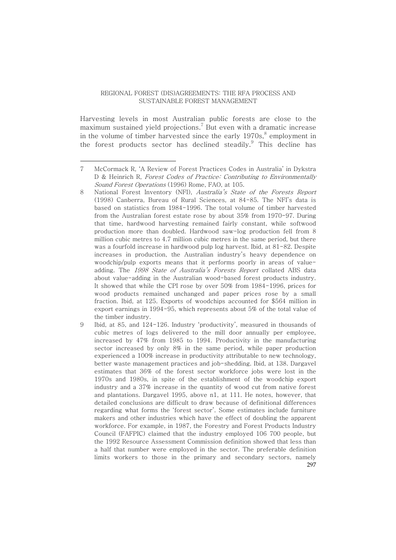Harvesting levels in most Australian public forests are close to the maximum sustained yield projections. $^7$  But even with a dramatic increase in the volume of timber harvested since the early 1970s, $^8$  employment in the forest products sector has declined steadily.<sup>9</sup> This decline has

<sup>7</sup> McCormack R, 'A Review of Forest Practices Codes in Australia' in Dykstra D & Heinrich R, Forest Codes of Practice: Contributing to Environmentally Sound Forest Operations (1996) Rome, FAO, at 105.

<sup>8</sup> National Forest Inventory (NFI), Australia's State of the Forests Report (1998) Canberra, Bureau of Rural Sciences, at 84-85. The NFI's data is based on statistics from 1984-1996. The total volume of timber harvested from the Australian forest estate rose by about 35% from 1970-97. During that time, hardwood harvesting remained fairly constant, while softwood production more than doubled. Hardwood saw-log production fell from 8 million cubic metres to 4.7 million cubic metres in the same period, but there was a fourfold increase in hardwood pulp log harvest. Ibid, at 81-82. Despite increases in production, the Australian industry's heavy dependence on woodchip/pulp exports means that it performs poorly in areas of valueadding. The 1998 State of Australia's Forests Report collated ABS data about value-adding in the Australian wood-based forest products industry. It showed that while the CPI rose by over 50% from 1984-1996, prices for wood products remained unchanged and paper prices rose by a small fraction. Ibid, at 125. Exports of woodchips accounted for \$564 million in export earnings in 1994-95, which represents about 5% of the total value of the timber industry.

<sup>297</sup> 9 Ibid, at 85, and 124-126. Industry 'productivity', measured in thousands of cubic metres of logs delivered to the mill door annually per employee, increased by 47% from 1985 to 1994. Productivity in the manufacturing sector increased by only 8% in the same period, while paper production experienced a 100% increase in productivity attributable to new technology, better waste management practices and job-shedding. Ibid, at 138. Dargavel estimates that 36% of the forest sector workforce jobs were lost in the 1970s and 1980s, in spite of the establishment of the woodchip export industry and a 37% increase in the quantity of wood cut from native forest and plantations. Dargavel 1995, above n1, at 111. He notes, however, that detailed conclusions are difficult to draw because of definitional differences regarding what forms the 'forest sector'. Some estimates include furniture makers and other industries which have the effect of doubling the apparent workforce. For example, in 1987, the Forestry and Forest Products Industry Council (FAFPIC) claimed that the industry employed 106 700 people, but the 1992 Resource Assessment Commission definition showed that less than a half that number were employed in the sector. The preferable definition limits workers to those in the primary and secondary sectors, namely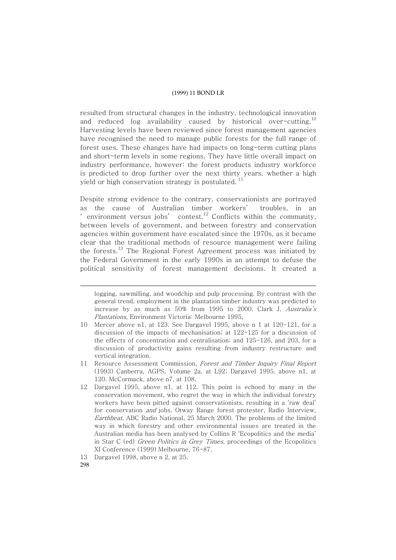resulted from structural changes in the industry, technological innovation and reduced log availability caused by historical over-cutting. $^{10}$ Harvesting levels have been reviewed since forest management agencies have recognised the need to manage public forests for the full range of forest uses. These changes have had impacts on long-term cutting plans and short-term levels in some regions. They have little overall impact on industry performance, however: the forest products industry workforce is predicted to drop further over the next thirty years, whether a high yield or high conservation strategy is postulated.<sup>11</sup>

Despite strong evidence to the contrary, conservationists are portrayed as the cause of Australian timber workers' troubles, in an ' environment versus jobs' contest. $^{12}$  Conflicts within the community, between levels of government, and between forestry and conservation agencies within government have escalated since the 1970s, as it became clear that the traditional methods of resource management were failing the forests.<sup>13</sup> The Regional Forest Agreement process was initiated by the Federal Government in the early 1990s in an attempt to defuse the political sensitivity of forest management decisions. It created a

12 Dargavel 1995, above n1, at 112. This point is echoed by many in the conservation movement, who regret the way in which the individual forestry workers have been pitted against conservationists, resulting in a 'raw deal' for conservation and jobs. Otway Range forest protester, Radio Interview, Earthbeat, ABC Radio National, 25 March 2000. The problems of the limited way in which forestry and other environmental issues are treated in the Australian media has been analysed by Collins R 'Ecopolitics and the media' in Star C (ed) Green Politics in Grey Times, proceedings of the Ecopolitics XI Conference (1999) Melbourne, 76-87.

logging, sawmilling, and woodchip and pulp processing. By contrast with the general trend, employment in the plantation timber industry was predicted to increase by as much as 50% from 1995 to 2000. Clark J, Australia's Plantations, Environment Victoria: Melbourne 1995.

<sup>10</sup> Mercer above n1, at 123. See Dargavel 1995, above n 1 at 120-121, for a discussion of the impacts of mechanisation; at 122-125 for a discussion of the effects of concentration and centralisation; and 125-126, and 203, for a discussion of productivity gains resulting from industry restructure and vertical integration.

<sup>11</sup> Resource Assessment Commission, Forest and Timber Inquiry Final Report (1993) Canberra, AGPS, Volume 2a, at L92; Dargavel 1995, above n1, at 120. McCormack, above n7, at 108.

<sup>13</sup> Dargavel 1998, above n 2, at 25.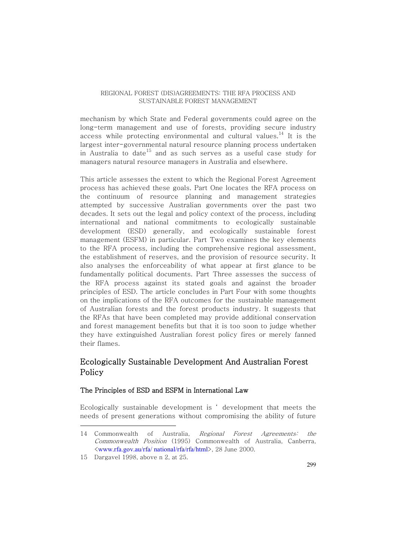mechanism by which State and Federal governments could agree on the long-term management and use of forests, providing secure industry access while protecting environmental and cultural values.<sup>14</sup> It is the largest inter-governmental natural resource planning process undertaken in Australia to date $^{\rm 15}$  and as such serves as a useful case study for managers natural resource managers in Australia and elsewhere.

This article assesses the extent to which the Regional Forest Agreement process has achieved these goals. Part One locates the RFA process on the continuum of resource planning and management strategies attempted by successive Australian governments over the past two decades. It sets out the legal and policy context of the process, including international and national commitments to ecologically sustainable development (ESD) generally, and ecologically sustainable forest management (ESFM) in particular. Part Two examines the key elements to the RFA process, including the comprehensive regional assessment, the establishment of reserves, and the provision of resource security. It also analyses the enforceability of what appear at first glance to be fundamentally political documents. Part Three assesses the success of the RFA process against its stated goals and against the broader principles of ESD. The article concludes in Part Four with some thoughts on the implications of the RFA outcomes for the sustainable management of Australian forests and the forest products industry. It suggests that the RFAs that have been completed may provide additional conservation and forest management benefits but that it is too soon to judge whether they have extinguished Australian forest policy fires or merely fanned their flames.

## Ecologically Sustainable Development And Australian Forest Policy

#### The Principles of ESD and ESFM in International Law

Ecologically sustainable development is ' development that meets the needs of present generations without compromising the ability of future

<sup>14</sup> Commonwealth of Australia, Regional Forest Agreements: the Commonwealth Position (1995) Commonwealth of Australia, Canberra, <www.rfa.gov.au/rfa/ national/rfa/rfa/html>, 28 June 2000.

<sup>15</sup> Dargavel 1998, above n 2, at 25.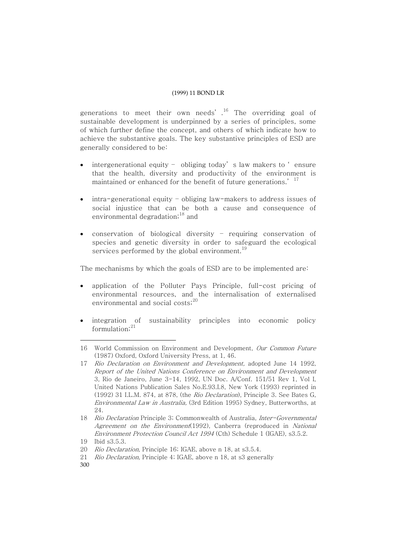generations to meet their own needs'.<sup>16</sup> The overriding goal of sustainable development is underpinned by a series of principles, some of which further define the concept, and others of which indicate how to achieve the substantive goals. The key substantive principles of ESD are generally considered to be:

- intergenerational equity obliging today' s law makers to ' ensure that the health, diversity and productivity of the environment is maintained or enhanced for the benefit of future generations.' <sup>17</sup>
- intra-generational equity obliging law-makers to address issues of social injustice that can be both a cause and consequence of environmental degradation;<sup>18</sup> and
- conservation of biological diversity requiring conservation of species and genetic diversity in order to safeguard the ecological services performed by the global environment. $^{19}$

The mechanisms by which the goals of ESD are to be implemented are:

- application of the Polluter Pays Principle, full-cost pricing of environmental resources, and the internalisation of externalised environmental and social costs; 20
- integration of sustainability principles into economic policy formulation; 21

300

<sup>16</sup> World Commission on Environment and Development, Our Common Future (1987) Oxford, Oxford University Press, at 1, 46.

<sup>17</sup> Rio Declaration on Environment and Development, adopted June 14 1992, Report of the United Nations Conference on Environment and Development 3, Rio de Janeiro, June 3-14, 1992, UN Doc. A/Conf. 151/51 Rev 1, Vol I, United Nations Publication Sales No.E.93.I.8, New York (1993) reprinted in (1992) 31 I.L.M. 874, at 878, (the Rio Declaration), Principle 3. See Bates G, Environmental Law in Australia, (3rd Edition 1995) Sydney, Butterworths, at 24.

<sup>18</sup> Rio Declaration Principle 3; Commonwealth of Australia, Inter-Governmental Agreement on the Environment(1992), Canberra (reproduced in National Environment Protection Council Act 1994 (Cth) Schedule 1 (IGAE), s3.5.2.

<sup>19</sup> Ibid s3.5.3.

<sup>20</sup> Rio Declaration, Principle 16; IGAE, above n 18, at s3.5.4.

<sup>21</sup> Rio Declaration, Principle 4; IGAE, above n 18, at s3 generally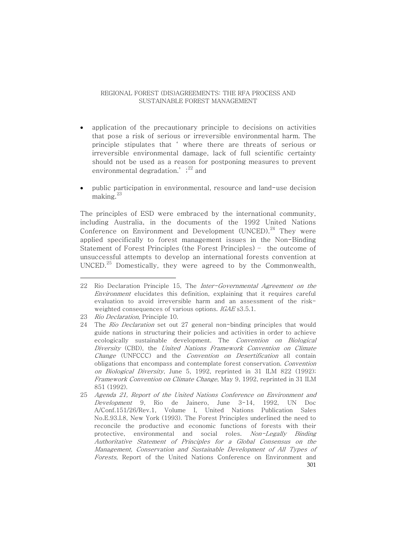- application of the precautionary principle to decisions on activities that pose a risk of serious or irreversible environmental harm. The principle stipulates that ' where there are threats of serious or irreversible environmental damage, lack of full scientific certainty should not be used as a reason for postponing measures to prevent environmental degradation.' $;^{22}$  and
- public participation in environmental, resource and land-use decision making. 23

The principles of ESD were embraced by the international community, including Australia, in the documents of the 1992 United Nations Conference on Environment and Development (UNCED). $^{24}$  They were applied specifically to forest management issues in the Non-Binding Statement of Forest Principles (the Forest Principles) – the outcome of unsuccessful attempts to develop an international forests convention at UNCED. $^{25}$  Domestically, they were agreed to by the Commonwealth,

<sup>22</sup> Rio Declaration Principle 15, The Inter-Governmental Agreement on the Environment elucidates this definition, explaining that it requires careful evaluation to avoid irreversible harm and an assessment of the riskweighted consequences of various options. IGAE s3.5.1.

<sup>23</sup> Rio Declaration, Principle 10.

<sup>24</sup> The *Rio Declaration* set out 27 general non-binding principles that would guide nations in structuring their policies and activities in order to achieve ecologically sustainable development. The Convention on Biological Diversity (CBD), the United Nations Framework Convention on Climate Change (UNFCCC) and the Convention on Desertification all contain obligations that encompass and contemplate forest conservation. Convention on Biological Diversity, June 5, 1992, reprinted in 31 ILM 822 (1992); Framework Convention on Climate Change, May 9, 1992, reprinted in 31 ILM 851 (1992).

<sup>301</sup> 25 Agenda 21, Report of the United Nations Conference on Environment and Development 9, Rio de Jainero, June 3-14, 1992, UN Doc A/Conf.151/26/Rev.1, Volume I, United Nations Publication Sales No.E.93.I.8, New York (1993). The Forest Principles underlined the need to reconcile the productive and economic functions of forests with their protective, environmental and social roles. Non-Legally Binding Authoritative Statement of Principles for <sup>a</sup> Global Consensus on the Management, Conservation and Sustainable Development of All Types of Forests, Report of the United Nations Conference on Environment and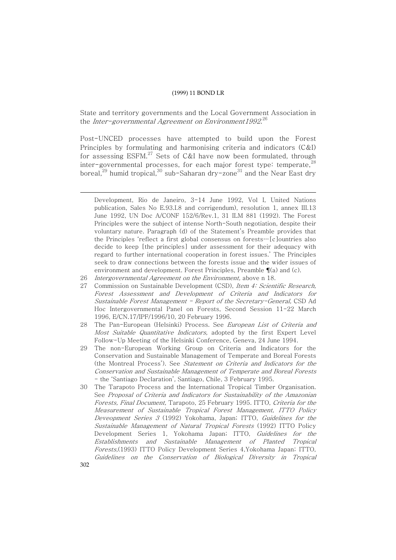State and territory governments and the Local Government Association in the *Inter-governmental Agreement on Environment1992.* $^{26}$ 

Post-UNCED processes have attempted to build upon the Forest Principles by formulating and harmonising criteria and indicators (C&I) for assessing  $\mathrm{ESFM.}^{27}$  Sets of C&I have now been formulated, through inter-governmental processes, for each major forest type: temperate, $^{28}$ boreal, $^{29}$  humid tropical, $^{30}$  sub-Saharan dry-zone $^{31}$  and the Near East dry

30 The Tarapoto Process and the International Tropical Timber Organisation. See Proposal of Criteria and Indicators for Sustainability of the Amazonian Forests, Final Document, Tarapoto, 25 February 1995. ITTO, Criteria for the Measurement of Sustainable Tropical Forest Management, ITTO Policy Deveopment Series 3 (1992) Yokohama, Japan; ITTO, Guidelines for the Sustainable Management of Natural Tropical Forests (1992) ITTO Policy Development Series 1, Yokohama Japan; ITTO, Guidelines for the Establishments and Sustainable Management of Planted Tropical Forests,(1993) ITTO Policy Development Series 4,Yokohama Japan; ITTO, Guidelines on the Conservation of Biological Diversity in Tropical

Development, Rio de Janeiro, 3-14 June 1992, Vol I, United Nations publication, Sales No E.93.I.8 and corrigendum), resolution 1, annex III.13 June 1992, UN Doc A/CONF 152/6/Rev.1, 31 ILM 881 (1992). The Forest Principles were the subject of intense North-South negotiation, despite their voluntary nature. Paragraph (d) of the Statement's Preamble provides that the Principles 'reflect a first global consensus on forests…[c]ountries also decide to keep [the principles] under assessment for their adequacy with regard to further international cooperation in forest issues.' The Principles seek to draw connections between the forests issue and the wider issues of environment and development. Forest Principles, Preamble ¶(a) and (c).

<sup>26</sup> Intergovernmental Agreement on the Environment, above n 18.

<sup>27</sup> Commission on Sustainable Development (CSD), Item 4: Scientific Research, Forest Assessment and Development of Criteria and Indicators for Sustainable Forest Management - Report of the Secretary-General, CSD Ad Hoc Intergovernmental Panel on Forests, Second Session 11-22 March 1996, E/CN.17/IPF/1996/10, 20 February 1996.

The Pan-European (Helsinki) Process. See European List of Criteria and Most Suitable Quantitative Indicators, adopted by the first Expert Level Follow-Up Meeting of the Helsinki Conference, Geneva, 24 June 1994.

<sup>29</sup> The non-European Working Group on Criteria and Indicators for the Conservation and Sustainable Management of Temperate and Boreal Forests (the Montreal Process'). See Statement on Criteria and Indicators for the Conservation and Sustainable Management of Temperate and Boreal Forests - the 'Santiago Declaration', Santiago, Chile, 3 February 1995.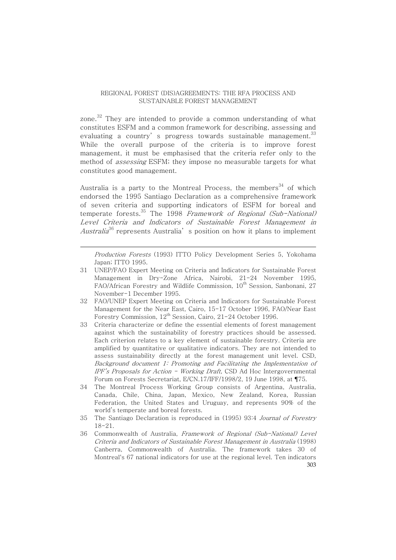zone. $^{32}$  They are intended to provide a common understanding of what constitutes ESFM and a common framework for describing, assessing and evaluating a country's progress towards sustainable management.<sup>33</sup> While the overall purpose of the criteria is to improve forest management, it must be emphasised that the criteria refer only to the method of *assessing* ESFM; they impose no measurable targets for what constitutes good management.

Australia is a party to the Montreal Process, the members<sup>34</sup> of which endorsed the 1995 Santiago Declaration as a comprehensive framework of seven criteria and supporting indicators of ESFM for boreal and temperate forests.<sup>35</sup> The 1998 *Framework of Regional (Sub-National)* Level Criteria and Indicators of Sustainable Forest Management in *Australia*<sup>36</sup> represents Australia's position on how it plans to implement

Production Forests (1993) ITTO Policy Development Series 5, Yokohama Japan; ITTO 1995.

- 31 UNEP/FAO Expert Meeting on Criteria and Indicators for Sustainable Forest Management in Dry-Zone Africa, Nairobi, 21-24 November 1995, FAO/African Forestry and Wildlife Commission, 10<sup>th</sup> Session, Sanbonani, 27 November-1 December 1995.
- 32 FAO/UNEP Expert Meeting on Criteria and Indicators for Sustainable Forest Management for the Near East, Cairo, 15-17 October 1996, FAO/Near East Forestry Commission, 12<sup>th</sup> Session, Cairo, 21-24 October 1996.
- 33 Criteria characterize or define the essential elements of forest management against which the sustainability of forestry practices should be assessed. Each criterion relates to a key element of sustainable forestry. Criteria are amplified by quantitative or qualitative indicators. They are not intended to assess sustainability directly at the forest management unit level. CSD, Background document 1: Promoting and Facilitating the Implementation of IPF's Proposals for Action - Working Draft, CSD Ad Hoc Intergovernmental Forum on Forests Secretariat, E/CN.17/IFF/1998/2, 19 June 1998, at ¶75.
- 34 The Montreal Process Working Group consists of Argentina, Australia, Canada, Chile, China, Japan, Mexico, New Zealand, Korea, Russian Federation, the United States and Uruguay, and represents 90% of the world's temperate and boreal forests.
- 35 The Santiago Declaration is reproduced in (1995) 93:4 Journal of Forestry 18-21.
- 303 36 Commonwealth of Australia, Framework of Regional (Sub-National) Level Criteria and Indicators of Sustainable Forest Management in Australia (1998) Canberra, Commonwealth of Australia. The framework takes 30 of Montreal's 67 national indicators for use at the regional level. Ten indicators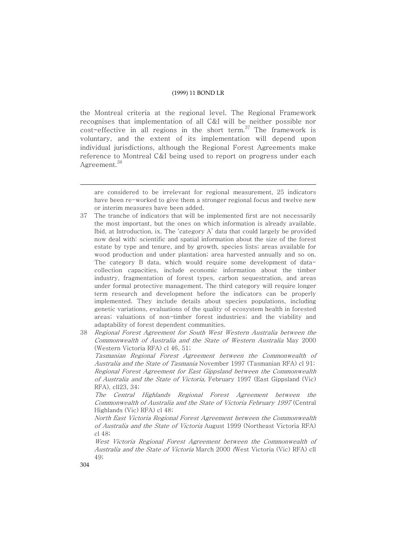the Montreal criteria at the regional level. The Regional Framework recognises that implementation of all C&I will be neither possible nor cost-effective in all regions in the short term. $^{37}$  The framework is voluntary, and the extent of its implementation will depend upon individual jurisdictions, although the Regional Forest Agreements make reference to Montreal C&I being used to report on progress under each Agreement.<sup>38</sup>

- 37 The tranche of indicators that will be implemented first are not necessarily the most important, but the ones on which information is already available. Ibid, at Introduction, ix. The 'category A' data that could largely be provided now deal with: scientific and spatial information about the size of the forest estate by type and tenure, and by growth, species lists; areas available for wood production and under plantation; area harvested annually and so on. The category B data, which would require some development of datacollection capacities, include economic information about the timber industry, fragmentation of forest types, carbon sequestration, and areas under formal protective management. The third category will require longer term research and development before the indicators can be properly implemented. They include details about species populations, including genetic variations, evaluations of the quality of ecosystem health in forested areas; valuations of non-timber forest industries; and the viability and adaptability of forest dependent communities.
- 38 Regional Forest Agreement for South West Western Australia between the Commonwealth of Australia and the State of Western Australia May 2000 (Western Victoria RFA) cl 46, 51;

Tasmanian Regional Forest Agreement between the Commonwealth of Australia and the State of Tasmania November 1997 (Tasmanian RFA) cl 91; Regional Forest Agreement for East Gippsland between the Commonwealth of Australia and the State of Victoria, February 1997 (East Gippsland (Vic) RFA), cll23, 34;

The Central Highlands Regional Forest Agreement between the Commonwealth of Australia and the State of Victoria February 1997 (Central Highlands (Vic) RFA) cl 48;

North East Victoria Regional Forest Agreement between the Commonwealth of Australia and the State of Victoria August 1999 (Northeast Victoria RFA) cl 48;

West Victoria Regional Forest Agreement between the Commonwealth of Australia and the State of Victoria March 2000 (West Victoria (Vic) RFA) cll 49;

are considered to be irrelevant for regional measurement, 25 indicators have been re-worked to give them a stronger regional focus and twelve new or interim measures have been added.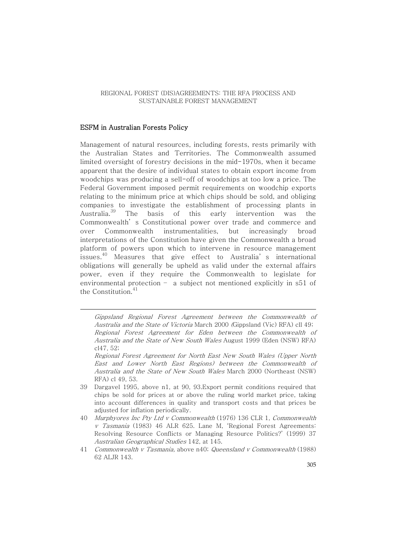#### ESFM in Australian Forests Policy

Management of natural resources, including forests, rests primarily with the Australian States and Territories. The Commonwealth assumed limited oversight of forestry decisions in the mid-1970s, when it became apparent that the desire of individual states to obtain export income from woodchips was producing a sell-off of woodchips at too low a price. The Federal Government imposed permit requirements on woodchip exports relating to the minimum price at which chips should be sold, and obliging companies to investigate the establishment of processing plants in Australia.<sup>39</sup> The basis of this early intervention was the Commonwealth' s Constitutional power over trade and commerce and over Commonwealth instrumentalities, but increasingly broad interpretations of the Constitution have given the Commonwealth a broad platform of powers upon which to intervene in resource management issues. <sup>40</sup> Measures that give effect to Australia' s international obligations will generally be upheld as valid under the external affairs power, even if they require the Commonwealth to legislate for environmental protection – a subject not mentioned explicitly in s51 of the Constitution. 41

Gippsland Regional Forest Agreement between the Commonwealth of Australia and the State of Victoria March 2000 (Gippsland (Vic) RFA) cll 49; Regional Forest Agreement for Eden between the Commonwealth of Australia and the State of New South Wales August 1999 (Eden (NSW) RFA) cl47, 52;

Regional Forest Agreement for North East New South Wales (Upper North East and Lower North East Regions) between the Commonwealth of Australia and the State of New South Wales March 2000 (Northeast (NSW) RFA) cl 49, 53.

- 39 Dargavel 1995, above n1, at 90, 93.Export permit conditions required that chips be sold for prices at or above the ruling world market price, taking into account differences in quality and transport costs and that prices be adjusted for inflation periodically.
- 40 Murphyores Inc Pty Ltd <sup>v</sup> Commonwealth (1976) 136 CLR 1, Commonwealth <sup>v</sup> Tasmania (1983) 46 ALR 625. Lane M, 'Regional Forest Agreements: Resolving Resource Conflicts or Managing Resource Politics?' (1999) 37 Australian Geographical Studies 142, at 145.
- 41 Commonwealth <sup>v</sup> Tasmania, above n40; Queensland <sup>v</sup> Commonwealth (1988) 62 ALJR 143.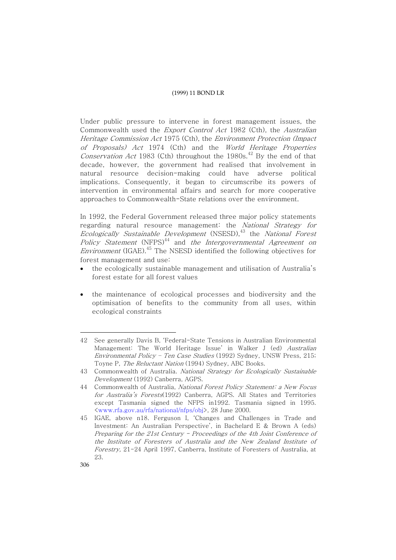Under public pressure to intervene in forest management issues, the Commonwealth used the Export Control Act 1982 (Cth), the Australian Heritage Commission Act 1975 (Cth), the Environment Protection (Impact of Proposals) Act 1974 (Cth) and the World Heritage Properties *Conservation Act* 1983 (Cth) throughout the 1980s.<sup>42</sup> By the end of that decade, however, the government had realised that involvement in natural resource decision-making could have adverse political implications. Consequently, it began to circumscribe its powers of intervention in environmental affairs and search for more cooperative approaches to Commonwealth-State relations over the environment.

In 1992, the Federal Government released three major policy statements regarding natural resource management: the National Strategy for Ecologically Sustainable Development (NSESD), <sup>43</sup> the National Forest Policy Statement (NFPS)<sup>44</sup> and *the Intergovernmental Agreement on Environment* (IGAE).<sup>45</sup> The NSESD identified the following objectives for forest management and use:

- the ecologically sustainable management and utilisation of Australia's forest estate for all forest values
- the maintenance of ecological processes and biodiversity and the optimisation of benefits to the community from all uses, within ecological constraints

<sup>42</sup> See generally Davis B, 'Federal-State Tensions in Australian Environmental Management: The World Heritage Issue' in Walker J (ed) Australian Environmental Policy – Ten Case Studies (1992) Sydney, UNSW Press, 215; Toyne P, The Reluctant Nation (1994) Sydney, ABC Books.

<sup>43</sup> Commonwealth of Australia. National Strategy for Ecologically Sustainable Development (1992) Canberra, AGPS.

<sup>44</sup> Commonwealth of Australia, National Forest Policy Statement: a New Focus for Australia's Forests(1992) Canberra, AGPS. All States and Territories except Tasmania signed the NFPS in1992. Tasmania signed in 1995. <www.rfa.gov.au/rfa/national/nfps/obj>, 28 June 2000.

<sup>45</sup> IGAE, above n18. Ferguson I, 'Changes and Challenges in Trade and Investment: An Australian Perspective', in Bachelard E & Brown A (eds) Preparing for the 21st Century - Proceedings of the 4th Joint Conference of the Institute of Foresters of Australia and the New Zealand Institute of Forestry, 21-24 April 1997, Canberra, Institute of Foresters of Australia, at 23.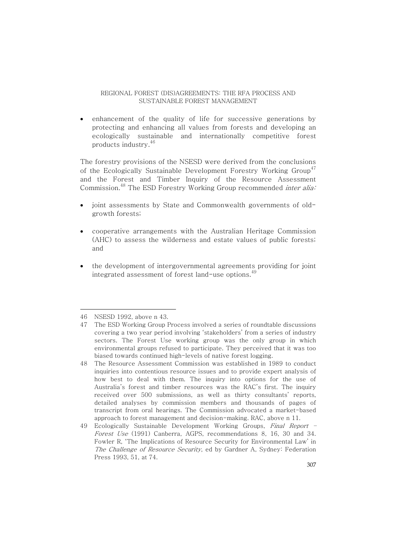• enhancement of the quality of life for successive generations by protecting and enhancing all values from forests and developing an ecologically sustainable and internationally competitive forest products industry. 46

The forestry provisions of the NSESD were derived from the conclusions of the Ecologically Sustainable Development Forestry Working Group<sup>47</sup> and the Forest and Timber Inquiry of the Resource Assessment Commission.<sup>48</sup> The ESD Forestry Working Group recommended *inter alia:* 

- joint assessments by State and Commonwealth governments of oldgrowth forests;
- cooperative arrangements with the Australian Heritage Commission (AHC) to assess the wilderness and estate values of public forests; and
- the development of intergovernmental agreements providing for joint integrated assessment of forest land-use options. $^{49}$

<sup>46</sup> NSESD 1992, above n 43.

<sup>47</sup> The ESD Working Group Process involved a series of roundtable discussions covering a two year period involving 'stakeholders' from a series of industry sectors. The Forest Use working group was the only group in which environmental groups refused to participate. They perceived that it was too biased towards continued high-levels of native forest logging.

<sup>48</sup> The Resource Assessment Commission was established in 1989 to conduct inquiries into contentious resource issues and to provide expert analysis of how best to deal with them. The inquiry into options for the use of Australia's forest and timber resources was the RAC's first. The inquiry received over 500 submissions, as well as thirty consultants' reports, detailed analyses by commission members and thousands of pages of transcript from oral hearings. The Commission advocated a market-based approach to forest management and decision-making. RAC, above n 11.

<sup>49</sup> Ecologically Sustainable Development Working Groups, Final Report -Forest Use (1991) Canberra, AGPS, recommendations 8, 16, 30 and 34. Fowler R, 'The Implications of Resource Security for Environmental Law' in The Challenge of Resource Security, ed by Gardner A, Sydney: Federation Press 1993, 51, at 74.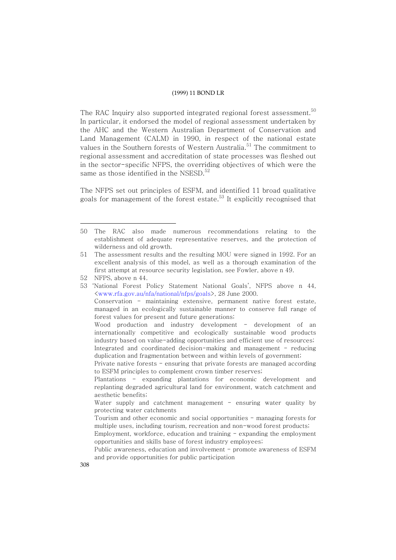The RAC Inquiry also supported integrated regional forest assessment. $^{\rm 50}$ In particular, it endorsed the model of regional assessment undertaken by the AHC and the Western Australian Department of Conservation and Land Management (CALM) in 1990, in respect of the national estate values in the Southern forests of Western Australia. <sup>51</sup> The commitment to regional assessment and accreditation of state processes was fleshed out in the sector-specific NFPS, the overriding objectives of which were the same as those identified in the NSESD. $^{\rm 52}$ 

The NFPS set out principles of ESFM, and identified 11 broad qualitative goals for management of the forest estate. $^{\rm 53}$  It explicitly recognised that

<sup>50</sup> The RAC also made numerous recommendations relating to the establishment of adequate representative reserves, and the protection of wilderness and old growth.

<sup>51</sup> The assessment results and the resulting MOU were signed in 1992. For an excellent analysis of this model, as well as a thorough examination of the first attempt at resource security legislation, see Fowler, above n 49.

<sup>52</sup> NFPS, above n 44.

<sup>53</sup> 'National Forest Policy Statement National Goals', NFPS above n 44, <www.rfa.gov.au/nfa/national/nfps/goals>, 28 June 2000. Conservation - maintaining extensive, permanent native forest estate, managed in an ecologically sustainable manner to conserve full range of forest values for present and future generations; Wood production and industry development - development of an internationally competitive and ecologically sustainable wood products industry based on value-adding opportunities and efficient use of resources; Integrated and coordinated decision-making and management - reducing duplication and fragmentation between and within levels of government; Private native forests - ensuring that private forests are managed according to ESFM principles to complement crown timber reserves; Plantations - expanding plantations for economic development and replanting degraded agricultural land for environment, watch catchment and aesthetic benefits;

Water supply and catchment management  $-$  ensuring water quality by protecting water catchments

Tourism and other economic and social opportunities - managing forests for multiple uses, including tourism, recreation and non-wood forest products;

Employment, workforce, education and training - expanding the employment opportunities and skills base of forest industry employees;

Public awareness, education and involvement - promote awareness of ESFM and provide opportunities for public participation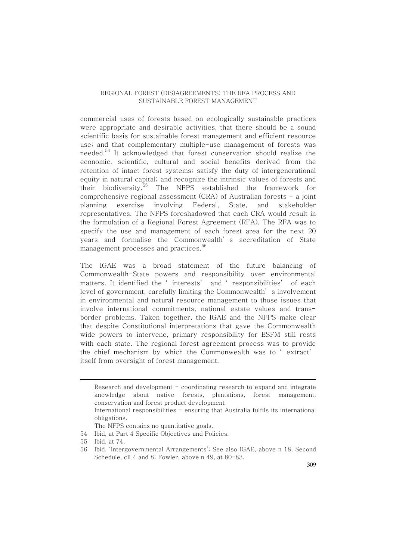commercial uses of forests based on ecologically sustainable practices were appropriate and desirable activities, that there should be a sound scientific basis for sustainable forest management and efficient resource use; and that complementary multiple-use management of forests was needed.<sup>54</sup> It acknowledged that forest conservation should realize the economic, scientific, cultural and social benefits derived from the retention of intact forest systems; satisfy the duty of intergenerational equity in natural capital; and recognize the intrinsic values of forests and their biodiversity. <sup>55</sup> The NFPS established the framework for comprehensive regional assessment (CRA) of Australian forests  $-$  a joint planning exercise involving Federal, State, and stakeholder representatives. The NFPS foreshadowed that each CRA would result in the formulation of a Regional Forest Agreement (RFA). The RFA was to specify the use and management of each forest area for the next 20 years and formalise the Commonwealth' s accreditation of State management processes and practices. 56

The IGAE was a broad statement of the future balancing of Commonwealth-State powers and responsibility over environmental matters. It identified the ' interests' and ' responsibilities' of each level of government, carefully limiting the Commonwealth' s involvement in environmental and natural resource management to those issues that involve international commitments, national estate values and transborder problems. Taken together, the IGAE and the NFPS make clear that despite Constitutional interpretations that gave the Commonwealth wide powers to intervene, primary responsibility for ESFM still rests with each state. The regional forest agreement process was to provide the chief mechanism by which the Commonwealth was to ' extract' itself from oversight of forest management.

Research and development - coordinating research to expand and integrate knowledge about native forests, plantations, forest management, conservation and forest product development International responsibilities - ensuring that Australia fulfils its international obligations. The NFPS contains no quantitative goals. 54 Ibid, at Part 4 Specific Objectives and Policies.

<sup>55</sup> Ibid, at 74.

<sup>56</sup> Ibid, 'Intergovernmental Arrangements'; See also IGAE, above n 18, Second Schedule, cll 4 and 8; Fowler, above n 49, at 80-83.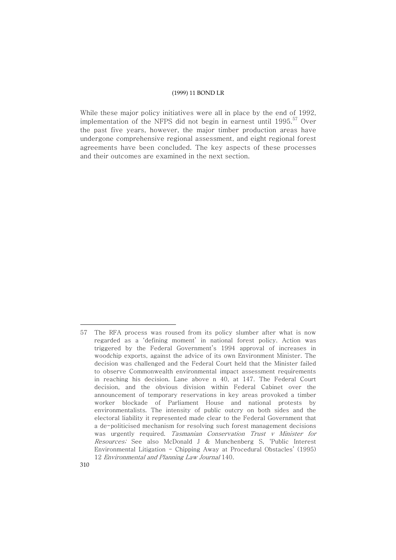While these major policy initiatives were all in place by the end of 1992, implementation of the NFPS did not begin in earnest until 1995. <sup>57</sup> Over the past five years, however, the major timber production areas have undergone comprehensive regional assessment, and eight regional forest agreements have been concluded. The key aspects of these processes and their outcomes are examined in the next section.

<sup>57</sup> The RFA process was roused from its policy slumber after what is now regarded as a 'defining moment' in national forest policy. Action was triggered by the Federal Government's 1994 approval of increases in woodchip exports, against the advice of its own Environment Minister. The decision was challenged and the Federal Court held that the Minister failed to observe Commonwealth environmental impact assessment requirements in reaching his decision. Lane above n 40, at 147. The Federal Court decision, and the obvious division within Federal Cabinet over the announcement of temporary reservations in key areas provoked a timber worker blockade of Parliament House and national protests by environmentalists. The intensity of public outcry on both sides and the electoral liability it represented made clear to the Federal Government that a de-politicised mechanism for resolving such forest management decisions was urgently required. Tasmanian Conservation Trust <sup>v</sup> Minister for Resources; See also McDonald J & Munchenberg S, 'Public Interest Environmental Litigation - Chipping Away at Procedural Obstacles' (1995) 12 Environmental and Planning Law Journal 140.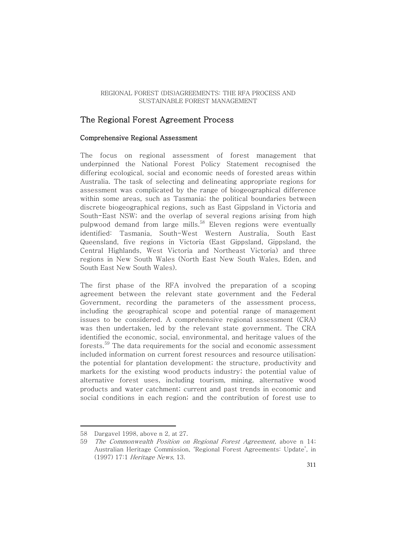## The Regional Forest Agreement Process

#### Comprehensive Regional Assessment

The focus on regional assessment of forest management that underpinned the National Forest Policy Statement recognised the differing ecological, social and economic needs of forested areas within Australia. The task of selecting and delineating appropriate regions for assessment was complicated by the range of biogeographical difference within some areas, such as Tasmania; the political boundaries between discrete biogeographical regions, such as East Gippsland in Victoria and South-East NSW; and the overlap of several regions arising from high pulpwood demand from large mills.<sup>58</sup> Eleven regions were eventually identified: Tasmania, South-West Western Australia, South East Queensland, five regions in Victoria (East Gippsland, Gippsland, the Central Highlands, West Victoria and Northeast Victoria) and three regions in New South Wales (North East New South Wales, Eden, and South East New South Wales).

The first phase of the RFA involved the preparation of a scoping agreement between the relevant state government and the Federal Government, recording the parameters of the assessment process, including the geographical scope and potential range of management issues to be considered. A comprehensive regional assessment (CRA) was then undertaken, led by the relevant state government. The CRA identified the economic, social, environmental, and heritage values of the forests.<sup>59</sup> The data requirements for the social and economic assessment included information on current forest resources and resource utilisation; the potential for plantation development; the structure, productivity and markets for the existing wood products industry; the potential value of alternative forest uses, including tourism, mining, alternative wood products and water catchment; current and past trends in economic and social conditions in each region; and the contribution of forest use to

<sup>58</sup> Dargavel 1998, above n 2, at 27.

<sup>59</sup> The Commonwealth Position on Regional Forest Agreement, above n 14; Australian Heritage Commission, 'Regional Forest Agreements: Update', in (1997) 17:1 Heritage News, 13.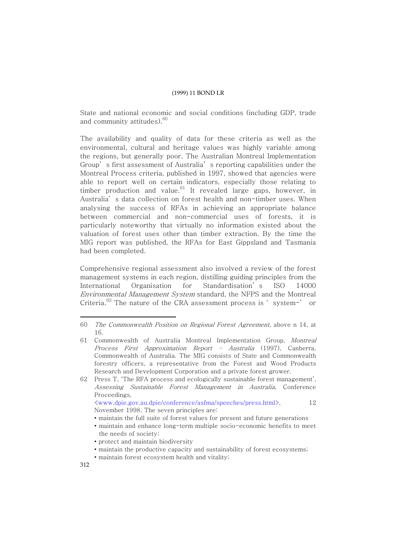State and national economic and social conditions (including GDP, trade and community attitudes). 60

The availability and quality of data for these criteria as well as the environmental, cultural and heritage values was highly variable among the regions, but generally poor. The Australian Montreal Implementation Group' s first assessment of Australia' s reporting capabilities under the Montreal Process criteria, published in 1997, showed that agencies were able to report well on certain indicators, especially those relating to timber production and value.<sup>61</sup> It revealed large gaps, however, in Australia' s data collection on forest health and non-timber uses. When analysing the success of RFAs in achieving an appropriate balance between commercial and non-commercial uses of forests, it is particularly noteworthy that virtually no information existed about the valuation of forest uses other than timber extraction. By the time the MIG report was published, the RFAs for East Gippsland and Tasmania had been completed.

Comprehensive regional assessment also involved a review of the forest management systems in each region, distilling guiding principles from the International Organisation for Standardisation' s ISO 14000 Environmental Management System standard, the NFPS and the Montreal Criteria. $^{62}$  The nature of the CRA assessment process is 'system-' or

<www.dpie.gov.au.dpie/conference/asfma/speeches/press.html>, 12 November 1998. The seven principles are:

- maintain the full suite of forest values for present and future generations
- maintain and enhance long-term multiple socio-economic benefits to meet the needs of society;
- protect and maintain biodiversity
- maintain the productive capacity and sustainability of forest ecosystems;
- maintain forest ecosystem health and vitality;

<sup>60</sup> The Commonwealth Position on Regional Forest Agreement, above n 14, at 16.

<sup>61</sup> Commonwealth of Australia Montreal Implementation Group, Montreal Process First Approximation Report – Australia (1997), Canberra, Commonwealth of Australia. The MIG consists of State and Commonwealth forestry officers, a representative from the Forest and Wood Products Research and Development Corporation and a private forest grower.

<sup>62</sup> Press T, 'The RFA process and ecologically sustainable forest management', Assessing Sustainable Forest Management in Australia, Conference Proceedings,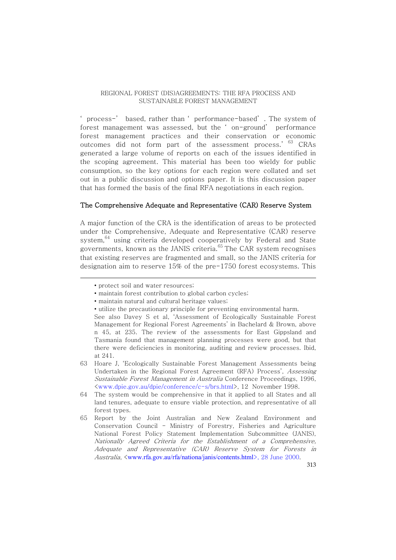' process-' based, rather than ' performance-based' . The system of forest management was assessed, but the ' on-ground' performance forest management practices and their conservation or economic outcomes did not form part of the assessment process.' 63 CRAs generated a large volume of reports on each of the issues identified in the scoping agreement. This material has been too wieldy for public consumption, so the key options for each region were collated and set out in a public discussion and options paper. It is this discussion paper that has formed the basis of the final RFA negotiations in each region.

#### The Comprehensive Adequate and Representative (CAR) Reserve System

A major function of the CRA is the identification of areas to be protected under the Comprehensive, Adequate and Representative (CAR) reserve system, $^{64}$  using criteria developed cooperatively by Federal and State governments, known as the JANIS criteria.<sup>65</sup> The CAR system recognises that existing reserves are fragmented and small, so the JANIS criteria for designation aim to reserve 15% of the pre-1750 forest ecosystems. This

• utilize the precautionary principle for preventing environmental harm.

<sup>•</sup> protect soil and water resources;

<sup>•</sup> maintain forest contribution to global carbon cycles;

<sup>•</sup> maintain natural and cultural heritage values;

See also Davey S et al, 'Assessment of Ecologically Sustainable Forest Management for Regional Forest Agreements' in Bachelard & Brown, above n 45, at 235. The review of the assessments for East Gippsland and Tasmania found that management planning processes were good, but that there were deficiencies in monitoring, auditing and review processes. Ibid, at 241.

<sup>63</sup> Hoare J, 'Ecologically Sustainable Forest Management Assessments being Undertaken in the Regional Forest Agreement (RFA) Process', Assessing Sustainable Forest Management in Australia Conference Proceedings, 1996, <www.dpie.gov.au/dpie/conference/c-s/brs.html>, 12 November 1998.

<sup>64</sup> The system would be comprehensive in that it applied to all States and all land tenures, adequate to ensure viable protection, and representative of all forest types.

<sup>65</sup> Report by the Joint Australian and New Zealand Environment and Conservation Council - Ministry of Forestry, Fisheries and Agriculture National Forest Policy Statement Implementation Subcommittee (JANIS), Nationally Agreed Criteria for the Establishment of <sup>a</sup> Comprehensive, Adequate and Representative (CAR) Reserve System for Forests in Australia, <www.rfa.gov.au/rfa/nationa/janis/contents.html>, 28 June 2000.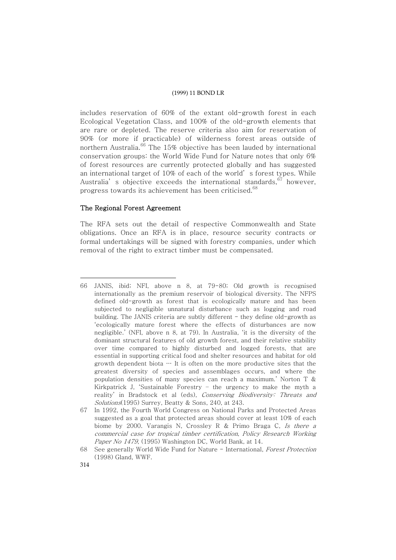includes reservation of 60% of the extant old-growth forest in each Ecological Vegetation Class, and 100% of the old-growth elements that are rare or depleted. The reserve criteria also aim for reservation of 90% (or more if practicable) of wilderness forest areas outside of northern Australia.<sup>66</sup> The 15% objective has been lauded by international conservation groups: the World Wide Fund for Nature notes that only 6% of forest resources are currently protected globally and has suggested an international target of 10% of each of the world' s forest types. While Australia's objective exceeds the international standards, $^{67}$  however, progress towards its achievement has been criticised.<sup>68</sup>

#### The Regional Forest Agreement

The RFA sets out the detail of respective Commonwealth and State obligations. Once an RFA is in place, resource security contracts or formal undertakings will be signed with forestry companies, under which removal of the right to extract timber must be compensated.

<sup>66</sup> JANIS, ibid; NFI, above n 8, at 79-80; Old growth is recognised internationally as the premium reservoir of biological diversity. The NFPS defined old-growth as forest that is ecologically mature and has been subjected to negligible unnatural disturbance such as logging and road building. The JANIS criteria are subtly different  $-$  they define old-growth as 'ecologically mature forest where the effects of disturbances are now negligible.' (NFI, above n 8, at 79). In Australia, 'it is the diversity of the dominant structural features of old growth forest, and their relative stability over time compared to highly disturbed and logged forests, that are essential in supporting critical food and shelter resources and habitat for old growth dependent biota  $\cdots$  It is often on the more productive sites that the greatest diversity of species and assemblages occurs, and where the population densities of many species can reach a maximum.' Norton T & Kirkpatrick J, 'Sustainable Forestry – the urgency to make the myth a reality' in Bradstock et al (eds), Conserving Biodiversity: Threats and Solutions(1995) Surrey, Beatty & Sons, 240, at 243.

<sup>67</sup> In 1992, the Fourth World Congress on National Parks and Protected Areas suggested as a goal that protected areas should cover at least 10% of each biome by 2000. Varangis N, Crossley R & Primo Braga C, Is there <sup>a</sup> commercial case for tropical timber certification, Policy Research Working Paper No 1479, (1995) Washington DC, World Bank, at 14.

<sup>68</sup> See generally World Wide Fund for Nature - International, Forest Protection (1998) Gland, WWF.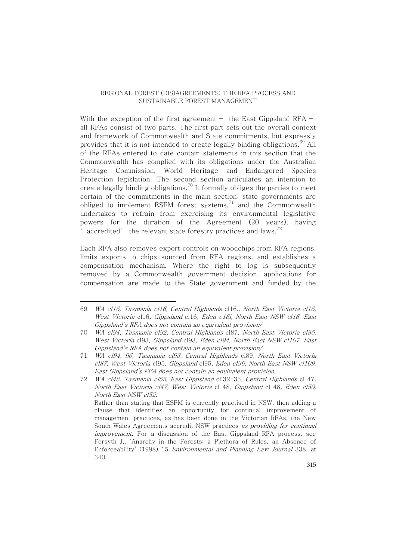With the exception of the first agreement  $-$  the East Gippsland RFA  $$ all RFAs consist of two parts. The first part sets out the overall context and framework of Commonwealth and State commitments, but expressly provides that it is not intended to create legally binding obligations.<sup>69</sup> All of the RFAs entered to date contain statements in this section that the Commonwealth has complied with its obligations under the Australian Heritage Commission, World Heritage and Endangered Species Protection legislation. The second section articulates an intention to create legally binding obligations. $^{70}$  It formally obliges the parties to meet certain of the commitments in the main section: state governments are obliged to implement ESFM forest systems, $^{71}$  and the Commonwealth undertakes to refrain from exercising its environmental legislative powers for the duration of the Agreement (20 years), having  $\degree$  accredited' the relevant state forestry practices and laws. $^{72}$ 

Each RFA also removes export controls on woodchips from RFA regions, limits exports to chips sourced from RFA regions, and establishes a compensation mechanism. Where the right to log is subsequently removed by a Commonwealth government decision, applications for compensation are made to the State government and funded by the

<sup>69</sup> WA cl16, Tasmania cl16, Central Highlands cl16., North East Victoria cl16, West Victoria cl16, Gippsland cl16, Eden c16l, North East NSW cl16. East Gippsland's RFA does not contain an equivalent provision/

<sup>70</sup> WA cl94, Tasmania cl92, Central Highlands cl87, North East Victoria cl85, West Victoria cl93, Gippsland cl93, Eden cl94, North East NSW cl107. East Gippsland's RFA does not contain an equivalent provision/

<sup>71</sup> WA cl94, 96, Tasmania cl93, Central Highlands cl89, North East Victoria cl87, West Victoria cl95, Gippsland cl95, Eden cl96, North East NSW cl109. East Gippsland's RFA does not contain an equivalent provision.

<sup>72</sup> WA cl48, Tasmania cl65, East Gippsland cll32-33, Central Highlands cl 47, North East Victoria cl47, West Victoria cl 48, Gippsland cl 48, Eden cl50, North East NSW cl52. Rather than stating that ESFM is currently practised in NSW, then adding a clause that identifies an opportunity for continual improvement of management practices, as has been done in the Victorian RFAs, the New South Wales Agreements accredit NSW practices as providing for continual improvement. For a discussion of the East Gippsland RFA process, see Forsyth J,. 'Anarchy in the Forests: a Plethora of Rules, an Absence of Enforceability' (1998) 15 Environmental and Planning Law Journal 338, at 340.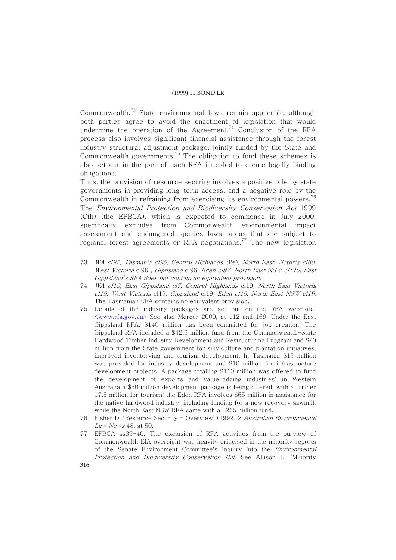Commonwealth.<sup>73</sup> State environmental laws remain applicable, although both parties agree to avoid the enactment of legislation that would undermine the operation of the Agreement.<sup>74</sup> Conclusion of the RFA process also involves significant financial assistance through the forest industry structural adjustment package, jointly funded by the State and Commonwealth governments. $^{75}$  The obligation to fund these schemes is also set out in the part of each RFA intended to create legally binding obligations.

Thus, the provision of resource security involves a positive role by state governments in providing long-term access, and a negative role by the Commonwealth in refraining from exercising its environmental powers. $^{76}$ The Environmental Protection and Biodiversity Conservation Act 1999 (Cth) (the EPBCA), which is expected to commence in July 2000, specifically excludes from Commonwealth environmental impact assessment and endangered species laws, areas that are subject to regional forest agreements or RFA negotiations. $^{77}$  The new legislation

<sup>73</sup> WA cl97, Tasmania cl95, Central Highlands cl90, North East Victoria cl88, West Victoria cl96 , Gippsland cl96, Eden cl97, North East NSW cl110. East Gippsland's RFA does not contain an equivalent provision.

<sup>74</sup> WA cl19, East Gippsland cl7, Central Highlands cl19, North East Victoria cl19, West Victoria cl19, Gippsland cl19, Eden cl19, North East NSW cl19. The Tasmanian RFA contains no equivalent provision.

<sup>75</sup> Details of the industry packages are set out on the RFA web-site: <www.rfa.gov.au> See also Mercer 2000, at 112 and 169. Under the East Gippsland RFA, \$140 million has been committed for job creation. The Gippsland RFA included a \$42.6 million fund from the Commonwealth-State Hardwood Timber Industry Development and Restructuring Program and \$20 million from the State government for siliviculture and plantation initiatives, improved inventorying and tourism development. In Tasmania \$13 million was provided for industry development and \$10 million for infrastructure development projects. A package totalling \$110 million was offered to fund the development of exports and value-adding industries; in Western Australia a \$50 million development package is being offered, with a further 17.5 million for tourism; the Eden RFA involves \$65 million in assistance for the native hardwood industry, including funding for a new recovery sawmill, while the North East NSW RFA came with a \$265 million fund.

<sup>76</sup> Fisher D, 'Resource Security - Overview' (1992) 2 Australian Environmental Law News 48, at 50.

<sup>77</sup> EPBCA ss39-40. The exclusion of RFA activities from the purview of Commonwealth EIA oversight was heavily criticised in the minority reports of the Senate Environment Committee's Inquiry into the *Environmental* Protection and Biodiversity Conservation Bill. See Allison L, 'Minority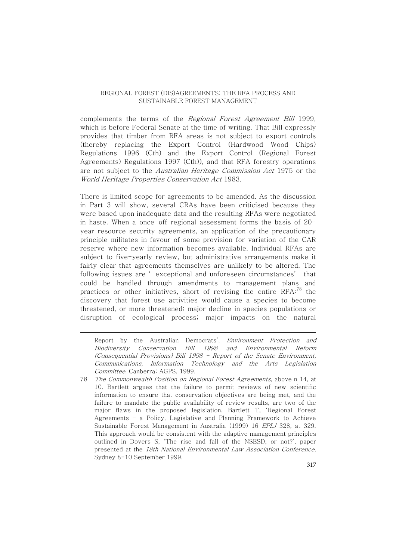complements the terms of the Regional Forest Agreement Bill 1999, which is before Federal Senate at the time of writing. That Bill expressly provides that timber from RFA areas is not subject to export controls (thereby replacing the Export Control (Hardwood Wood Chips) Regulations 1996 (Cth) and the Export Control (Regional Forest Agreements) Regulations 1997 (Cth)), and that RFA forestry operations are not subject to the Australian Heritage Commission Act 1975 or the World Heritage Properties Conservation Act 1983.

There is limited scope for agreements to be amended. As the discussion in Part 3 will show, several CRAs have been criticised because they were based upon inadequate data and the resulting RFAs were negotiated in haste. When a once-off regional assessment forms the basis of 20 year resource security agreements, an application of the precautionary principle militates in favour of some provision for variation of the CAR reserve where new information becomes available. Individual RFAs are subject to five-yearly review, but administrative arrangements make it fairly clear that agreements themselves are unlikely to be altered. The following issues are ' exceptional and unforeseen circumstances' that could be handled through amendments to management plans and practices or other initiatives, short of revising the entire  $\mathrm{RFA}^{.78}$  the discovery that forest use activities would cause a species to become threatened, or more threatened; major decline in species populations or disruption of ecological process; major impacts on the natural

Report by the Australian Democrats', Environment Protection and Biodiversity Conservation Bill 1998 and Environmental Reform (Consequential Provisions) Bill 1998 - Report of the Senate Environment, Communications, Information Technology and the Arts Legislation Committee, Canberra: AGPS, 1999.

78 The Commonwealth Position on Regional Forest Agreements, above n 14, at 10. Bartlett argues that the failure to permit reviews of new scientific information to ensure that conservation objectives are being met, and the failure to mandate the public availability of review results, are two of the major flaws in the proposed legislation. Bartlett T, 'Regional Forest Agreements – a Policy, Legislative and Planning Framework to Achieve Sustainable Forest Management in Australia (1999) 16 EPLJ 328, at 329. This approach would be consistent with the adaptive management principles outlined in Dovers S, 'The rise and fall of the NSESD, or not?', paper presented at the 18th National Environmental Law Association Conference, Sydney 8-10 September 1999.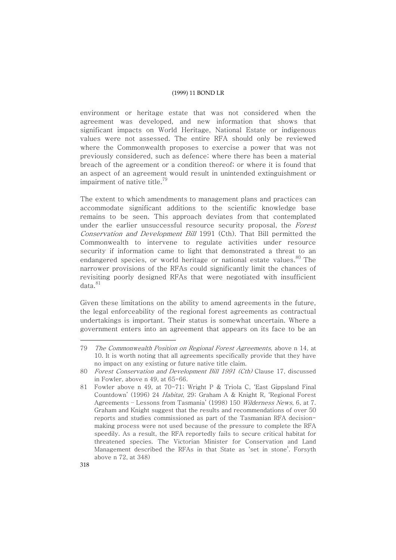environment or heritage estate that was not considered when the agreement was developed, and new information that shows that significant impacts on World Heritage, National Estate or indigenous values were not assessed. The entire RFA should only be reviewed where the Commonwealth proposes to exercise a power that was not previously considered, such as defence; where there has been a material breach of the agreement or a condition thereof; or where it is found that an aspect of an agreement would result in unintended extinguishment or impairment of native title. 79

The extent to which amendments to management plans and practices can accommodate significant additions to the scientific knowledge base remains to be seen. This approach deviates from that contemplated under the earlier unsuccessful resource security proposal, the Forest Conservation and Development Bill 1991 (Cth). That Bill permitted the Commonwealth to intervene to regulate activities under resource security if information came to light that demonstrated a threat to an endangered species, or world heritage or national estate values. <sup>80</sup> The narrower provisions of the RFAs could significantly limit the chances of revisiting poorly designed RFAs that were negotiated with insufficient data. 81

Given these limitations on the ability to amend agreements in the future, the legal enforceability of the regional forest agreements as contractual undertakings is important. Their status is somewhat uncertain. Where a government enters into an agreement that appears on its face to be an

<sup>79</sup> The Commonwealth Position on Regional Forest Agreements, above n 14, at 10. It is worth noting that all agreements specifically provide that they have no impact on any existing or future native title claim.

<sup>80</sup> Forest Conservation and Development Bill 1991 (Cth) Clause 17, discussed in Fowler, above n 49, at 65-66.

<sup>81</sup> Fowler above n 49, at 70-71; Wright P & Triola C, 'East Gippsland Final Countdown' (1996) 24 Habitat, 29; Graham A & Knight R, 'Regional Forest Agreements – Lessons from Tasmania' (1998) 150 Wilderness News, 6, at 7. Graham and Knight suggest that the results and recommendations of over 50 reports and studies commissioned as part of the Tasmanian RFA decisionmaking process were not used because of the pressure to complete the RFA speedily. As a result, the RFA reportedly fails to secure critical habitat for threatened species. The Victorian Minister for Conservation and Land Management described the RFAs in that State as 'set in stone'. Forsyth above n 72, at 348)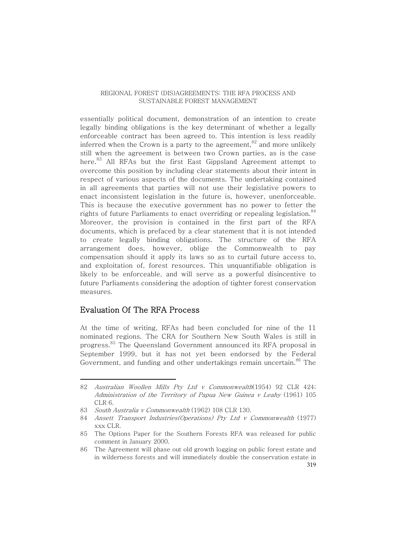essentially political document, demonstration of an intention to create legally binding obligations is the key determinant of whether a legally enforceable contract has been agreed to. This intention is less readily inferred when the Crown is a party to the agreement, $^{\rm 82}$  and more unlikely still when the agreement is between two Crown parties, as is the case here.<sup>83</sup> All RFAs but the first East Gippsland Agreement attempt to overcome this position by including clear statements about their intent in respect of various aspects of the documents. The undertaking contained in all agreements that parties will not use their legislative powers to enact inconsistent legislation in the future is, however, unenforceable. This is because the executive government has no power to fetter the rights of future Parliaments to enact overriding or repealing legislation. $^{84}$ Moreover, the provision is contained in the first part of the RFA documents, which is prefaced by a clear statement that it is not intended to create legally binding obligations. The structure of the RFA arrangement does, however, oblige the Commonwealth to pay compensation should it apply its laws so as to curtail future access to, and exploitation of, forest resources. This unquantifiable obligation is likely to be enforceable, and will serve as a powerful disincentive to future Parliaments considering the adoption of tighter forest conservation measures.

## Evaluation Of The RFA Process

At the time of writing, RFAs had been concluded for nine of the 11 nominated regions. The CRA for Southern New South Wales is still in progress. <sup>85</sup> The Queensland Government announced its RFA proposal in September 1999, but it has not yet been endorsed by the Federal Government, and funding and other undertakings remain uncertain. <sup>86</sup> The

<sup>82</sup> Australian Woollen Mills Pty Ltd v Commonwealth(1954) 92 CLR 424; Administration of the Territory of Papua New Guinea <sup>v</sup> Leahy (1961) 105 CLR 6.

<sup>83</sup> South Australia <sup>v</sup> Commonwealth (1962) 108 CLR 130.

<sup>84</sup> Ansett Transport Industries(Operations) Pty Ltd <sup>v</sup> Commonwealth (1977) xxx CLR.

<sup>85</sup> The Options Paper for the Southern Forests RFA was released for public comment in January 2000.

<sup>319</sup> 86 The Agreement will phase out old growth logging on public forest estate and in wilderness forests and will immediately double the conservation estate in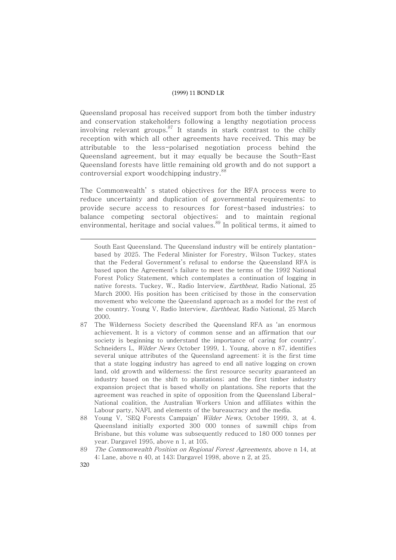Queensland proposal has received support from both the timber industry and conservation stakeholders following a lengthy negotiation process involving relevant groups.<sup>87</sup> It stands in stark contrast to the chilly reception with which all other agreements have received. This may be attributable to the less-polarised negotiation process behind the Queensland agreement, but it may equally be because the South-East Queensland forests have little remaining old growth and do not support a controversial export woodchipping industry. 88

The Commonwealth' s stated objectives for the RFA process were to reduce uncertainty and duplication of governmental requirements; to provide secure access to resources for forest-based industries; to balance competing sectoral objectives; and to maintain regional environmental, heritage and social values. <sup>89</sup> In political terms, it aimed to

- 87 The Wilderness Society described the Queensland RFA as 'an enormous achievement. It is a victory of common sense and an affirmation that our society is beginning to understand the importance of caring for country'. Schneiders L, Wilder News October 1999, 1. Young, above n 87, identifies several unique attributes of the Queensland agreement: it is the first time that a state logging industry has agreed to end all native logging on crown land, old growth and wilderness; the first resource security guaranteed an industry based on the shift to plantations; and the first timber industry expansion project that is based wholly on plantations. She reports that the agreement was reached in spite of opposition from the Queensland Liberal-National coalition, the Australian Workers Union and affiliates within the Labour party, NAFI, and elements of the bureaucracy and the media.
- 88 Young V, 'SEQ Forests Campaign' Wilder News, October 1999, 3, at 4. Queensland initially exported 300 000 tonnes of sawmill chips from Brisbane, but this volume was subsequently reduced to 180 000 tonnes per year. Dargavel 1995, above n 1, at 105.
- 89 The Commonwealth Position on Regional Forest Agreements, above n 14, at 4; Lane, above n 40, at 143; Dargavel 1998, above n 2, at 25.
- 320

South East Queensland. The Queensland industry will be entirely plantationbased by 2025. The Federal Minister for Forestry, Wilson Tuckey, states that the Federal Government's refusal to endorse the Queensland RFA is based upon the Agreement's failure to meet the terms of the 1992 National Forest Policy Statement, which contemplates a continuation of logging in native forests. Tuckey, W., Radio Interview, *Earthbeat*, Radio National, 25 March 2000. His position has been criticised by those in the conservation movement who welcome the Queensland approach as a model for the rest of the country. Young V, Radio Interview, Earthbeat, Radio National, 25 March 2000.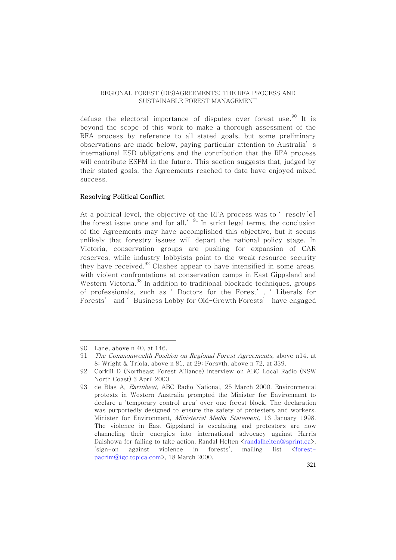defuse the electoral importance of disputes over forest use.<sup>90</sup> It is beyond the scope of this work to make a thorough assessment of the RFA process by reference to all stated goals, but some preliminary observations are made below, paying particular attention to Australia' s international ESD obligations and the contribution that the RFA process will contribute ESFM in the future. This section suggests that, judged by their stated goals, the Agreements reached to date have enjoyed mixed success.

#### Resolving Political Conflict

At a political level, the objective of the RFA process was to ' resolv[e] the forest issue once and for all.<sup>'  $91$ </sup> In strict legal terms, the conclusion of the Agreements may have accomplished this objective, but it seems unlikely that forestry issues will depart the national policy stage. In Victoria, conservation groups are pushing for expansion of CAR reserves, while industry lobbyists point to the weak resource security they have received. $^{92}$  Clashes appear to have intensified in some areas, with violent confrontations at conservation camps in East Gippsland and Western Victoria.<sup>93</sup> In addition to traditional blockade techniques, groups of professionals, such as ' Doctors for the Forest' , ' Liberals for Forests' and ' Business Lobby for Old-Growth Forests' have engaged

<sup>90</sup> Lane, above n 40, at 146.

<sup>91</sup> The Commonwealth Position on Regional Forest Agreements, above n14, at 8; Wright & Triola, above n 81, at 29; Forsyth, above n 72, at 339.

<sup>92</sup> Corkill D (Northeast Forest Alliance) interview on ABC Local Radio (NSW North Coast) 3 April 2000.

<sup>93</sup> de Blas A, Earthbeat, ABC Radio National, 25 March 2000. Environmental protests in Western Australia prompted the Minister for Environment to declare a 'temporary control area' over one forest block. The declaration was purportedly designed to ensure the safety of protesters and workers. Minister for Environment, Ministerial Media Statement, 16 January 1998. The violence in East Gippsland is escalating and protestors are now channeling their energies into international advocacy against Harris Daishowa for failing to take action. Randal Helten  $\langle$ randalhelten@sprint.ca $\rangle$ , 'sign-on against violence in forests', mailing list <forestpacrim@igc.topica.com>, 18 March 2000.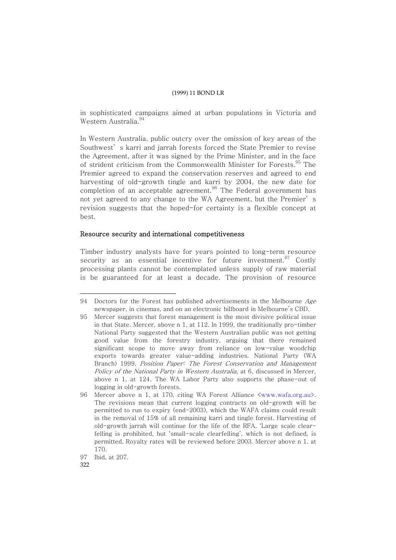in sophisticated campaigns aimed at urban populations in Victoria and Western Australia. 94

In Western Australia, public outcry over the omission of key areas of the Southwest' s karri and jarrah forests forced the State Premier to revise the Agreement, after it was signed by the Prime Minister, and in the face of strident criticism from the Commonwealth Minister for Forests.<sup>95</sup> The Premier agreed to expand the conservation reserves and agreed to end harvesting of old-growth tingle and karri by 2004, the new date for completion of an acceptable agreement. $^{96}$  The Federal government has not yet agreed to any change to the WA Agreement, but the Premier' s revision suggests that the hoped-for certainty is a flexible concept at best.

#### Resource security and international competitiveness

Timber industry analysts have for years pointed to long-term resource security as an essential incentive for future investment.<sup>97</sup> Costly processing plants cannot be contemplated unless supply of raw material is be guaranteed for at least a decade. The provision of resource

<sup>94</sup> Doctors for the Forest has published advertisements in the Melbourne  $Age$ newspaper, in cinemas, and on an electronic billboard in Melbourne's CBD.

<sup>95</sup> Mercer suggests that forest management is the most divisive political issue in that State. Mercer, above n 1, at 112. In 1999, the traditionally pro-timber National Party suggested that the Western Australian public was not getting good value from the forestry industry, arguing that there remained significant scope to move away from reliance on low-value woodchip exports towards greater value-adding industries. National Party (WA Branch) 1999, Position Paper: The Forest Conservation and Management Policy of the National Party in Western Australia, at 6, discussed in Mercer, above n 1, at 124. The WA Labor Party also supports the phase-out of logging in old-growth forests.

<sup>96</sup> Mercer above n 1, at 170, citing WA Forest Alliance <www.wafa.org.au>. The revisions mean that current logging contracts on old-growth will be permitted to run to expiry (end-2003), which the WAFA claims could result in the removal of 15% of all remaining karri and tingle forest. Harvesting of old-growth jarrah will continue for the life of the RFA. 'Large scale clearfelling is prohibited, but 'small-scale clearfelling', which is not defined, is permitted. Royalty rates will be reviewed before 2003. Mercer above n 1, at 170.

<sup>97</sup> Ibid, at 207.

<sup>322</sup>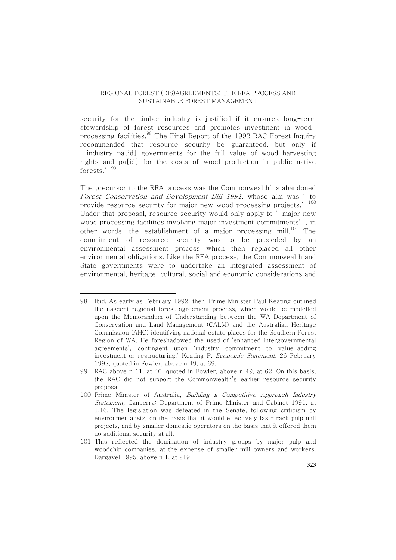security for the timber industry is justified if it ensures long-term stewardship of forest resources and promotes investment in woodprocessing facilities. $^{98}$  The Final Report of the 1992 RAC Forest Inquiry recommended that resource security be guaranteed, but only if ' industry pa[id] governments for the full value of wood harvesting rights and pa[id] for the costs of wood production in public native forests.' <sup>99</sup>

The precursor to the RFA process was the Commonwealth' s abandoned Forest Conservation and Development Bill 1991, whose aim was ' to provide resource security for major new wood processing projects.' 100 Under that proposal, resource security would only apply to ' major new wood processing facilities involving major investment commitments' , in other words, the establishment of a major processing mill.<sup>101</sup> The commitment of resource security was to be preceded by an environmental assessment process which then replaced all other environmental obligations. Like the RFA process, the Commonwealth and State governments were to undertake an integrated assessment of environmental, heritage, cultural, social and economic considerations and

<sup>98</sup> Ibid. As early as February 1992, then-Prime Minister Paul Keating outlined the nascent regional forest agreement process, which would be modelled upon the Memorandum of Understanding between the WA Department of Conservation and Land Management (CALM) and the Australian Heritage Commission (AHC) identifying national estate places for the Southern Forest Region of WA. He foreshadowed the used of 'enhanced intergovernmental agreements', contingent upon 'industry commitment to value-adding investment or restructuring.' Keating P, Economic Statement, 26 February 1992, quoted in Fowler, above n 49, at 69.

<sup>99</sup> RAC above n 11, at 40, quoted in Fowler, above n 49, at 62. On this basis, the RAC did not support the Commonwealth's earlier resource security proposal.

<sup>100</sup> Prime Minister of Australia, Building a Competitive Approach Industry Statement, Canberra: Department of Prime Minister and Cabinet 1991, at 1.16. The legislation was defeated in the Senate, following criticism by environmentalists, on the basis that it would effectively fast-track pulp mill projects, and by smaller domestic operators on the basis that it offered them no additional security at all.

<sup>101</sup> This reflected the domination of industry groups by major pulp and woodchip companies, at the expense of smaller mill owners and workers. Dargavel 1995, above n 1, at 219.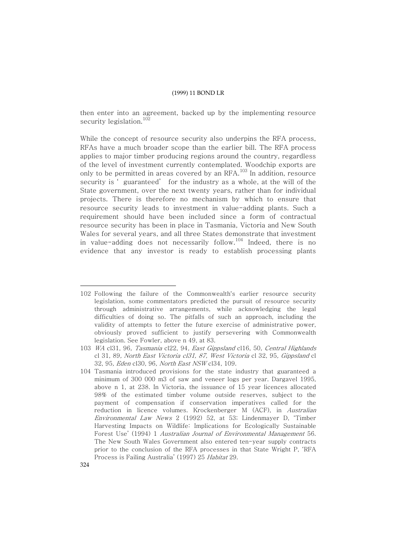then enter into an agreement, backed up by the implementing resource security legislation. 102

While the concept of resource security also underpins the RFA process, RFAs have a much broader scope than the earlier bill. The RFA process applies to major timber producing regions around the country, regardless of the level of investment currently contemplated. Woodchip exports are only to be permitted in areas covered by an RFA. $^{\rm 103}$  In addition, resource security is ' guaranteed' for the industry as a whole, at the will of the State government, over the next twenty years, rather than for individual projects. There is therefore no mechanism by which to ensure that resource security leads to investment in value-adding plants. Such a requirement should have been included since a form of contractual resource security has been in place in Tasmania, Victoria and New South Wales for several years, and all three States demonstrate that investment in value-adding does not necessarily follow. $^{104}$  Indeed, there is no evidence that any investor is ready to establish processing plants

<sup>102</sup> Following the failure of the Commonwealth's earlier resource security legislation, some commentators predicted the pursuit of resource security through administrative arrangements, while acknowledging the legal difficulties of doing so. The pitfalls of such an approach, including the validity of attempts to fetter the future exercise of administrative power, obviously proved sufficient to justify persevering with Commonwealth legislation. See Fowler, above n 49, at 83.

<sup>103</sup> WA cl31, 96, Tasmania cl22, 94, East Gippsland cl16, 50, Central Highlands cl 31, 89, North East Victoria cl31, 87, West Victoria cl 32, 95, Gippsland cl 32, 95, Eden cl30, 96, North East NSW cl34, 109.

<sup>104</sup> Tasmania introduced provisions for the state industry that guaranteed a minimum of 300 000 m3 of saw and veneer logs per year. Dargavel 1995, above n 1, at 238. In Victoria, the issuance of 15 year licences allocated 98% of the estimated timber volume outside reserves, subject to the payment of compensation if conservation imperatives called for the reduction in licence volumes. Krockenberger M (ACF), in Australian Environmental Law News 2 (1992) 52, at 53; Lindenmayer D, 'Timber Harvesting Impacts on Wildlife: Implications for Ecologically Sustainable Forest Use' (1994) 1 Australian Journal of Environmental Management 56. The New South Wales Government also entered ten-year supply contracts prior to the conclusion of the RFA processes in that State Wright P, 'RFA Process is Failing Australia' (1997) 25 Habitat 29.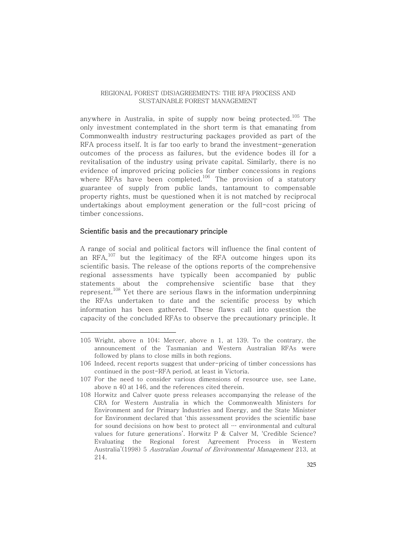anywhere in Australia, in spite of supply now being protected.<sup>105</sup> The only investment contemplated in the short term is that emanating from Commonwealth industry restructuring packages provided as part of the RFA process itself. It is far too early to brand the investment-generation outcomes of the process as failures, but the evidence bodes ill for a revitalisation of the industry using private capital. Similarly, there is no evidence of improved pricing policies for timber concessions in regions where RFAs have been completed. $^{106}$  The provision of a statutory guarantee of supply from public lands, tantamount to compensable property rights, must be questioned when it is not matched by reciprocal undertakings about employment generation or the full-cost pricing of timber concessions.

#### Scientific basis and the precautionary principle

A range of social and political factors will influence the final content of an  $\mathrm{RFA}^{107}$  but the legitimacy of the RFA outcome hinges upon its scientific basis. The release of the options reports of the comprehensive regional assessments have typically been accompanied by public statements about the comprehensive scientific base that they represent. <sup>108</sup> Yet there are serious flaws in the information underpinning the RFAs undertaken to date and the scientific process by which information has been gathered. These flaws call into question the capacity of the concluded RFAs to observe the precautionary principle. It

<sup>105</sup> Wright, above n 104; Mercer, above n 1, at 139. To the contrary, the announcement of the Tasmanian and Western Australian RFAs were followed by plans to close mills in both regions.

<sup>106</sup> Indeed, recent reports suggest that under-pricing of timber concessions has continued in the post-RFA period, at least in Victoria.

<sup>107</sup> For the need to consider various dimensions of resource use, see Lane, above n 40 at 146, and the references cited therein.

<sup>108</sup> Horwitz and Calver quote press releases accompanying the release of the CRA for Western Australia in which the Commonwealth Ministers for Environment and for Primary Industries and Energy, and the State Minister for Environment declared that 'this assessment provides the scientific base for sound decisions on how best to protect all … environmental and cultural values for future generations'. Horwitz P & Calver M, 'Credible Science? Evaluating the Regional forest Agreement Process in Western Australia'(1998) 5 Australian Journal of Environmental Management 213, at 214.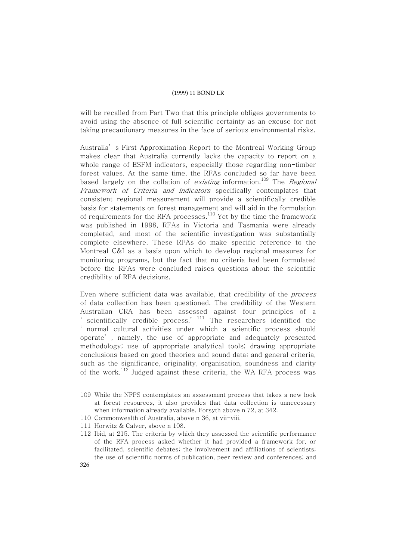will be recalled from Part Two that this principle obliges governments to avoid using the absence of full scientific certainty as an excuse for not taking precautionary measures in the face of serious environmental risks.

Australia' s First Approximation Report to the Montreal Working Group makes clear that Australia currently lacks the capacity to report on a whole range of ESFM indicators, especially those regarding non-timber forest values. At the same time, the RFAs concluded so far have been based largely on the collation of *existing* information.<sup>109</sup> The *Regional* Framework of Criteria and Indicators specifically contemplates that consistent regional measurement will provide a scientifically credible basis for statements on forest management and will aid in the formulation of requirements for the RFA processes. $^{110}$  Yet by the time the framework was published in 1998, RFAs in Victoria and Tasmania were already completed, and most of the scientific investigation was substantially complete elsewhere. These RFAs do make specific reference to the Montreal C&I as a basis upon which to develop regional measures for monitoring programs, but the fact that no criteria had been formulated before the RFAs were concluded raises questions about the scientific credibility of RFA decisions.

Even where sufficient data was available, that credibility of the process of data collection has been questioned. The credibility of the Western Australian CRA has been assessed against four principles of a scientifically credible process.<sup>'  $111$ </sup> The researchers identified the ' normal cultural activities under which a scientific process should operate' , namely, the use of appropriate and adequately presented methodology; use of appropriate analytical tools; drawing appropriate conclusions based on good theories and sound data; and general criteria, such as the significance, originality, organisation, soundness and clarity of the work. $^{\rm 112}$  Judged against these criteria, the WA RFA process was

<sup>109</sup> While the NFPS contemplates an assessment process that takes a new look at forest resources, it also provides that data collection is unnecessary when information already available. Forsyth above n 72, at 342.

<sup>110</sup> Commonwealth of Australia, above n 36, at vii-viii.

<sup>111</sup> Horwitz & Calver, above n 108.

<sup>112</sup> Ibid, at 215. The criteria by which they assessed the scientific performance of the RFA process asked whether it had provided a framework for, or facilitated, scientific debates; the involvement and affiliations of scientists; the use of scientific norms of publication, peer review and conferences; and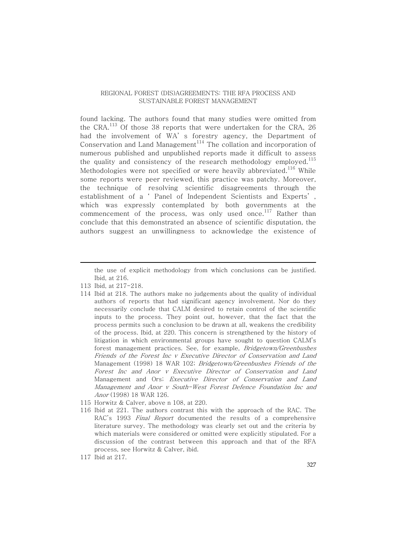found lacking. The authors found that many studies were omitted from the CRA. $^{113}$  Of those 38 reports that were undertaken for the CRA, 26 had the involvement of WA' s forestry agency, the Department of Conservation and Land Management $^{\rm l14}$  The collation and incorporation of numerous published and unpublished reports made it difficult to assess the quality and consistency of the research methodology employed. $^{115}$ Methodologies were not specified or were heavily abbreviated. $^{116}\,$  While some reports were peer reviewed, this practice was patchy. Moreover, the technique of resolving scientific disagreements through the establishment of a ' Panel of Independent Scientists and Experts' , which was expressly contemplated by both governments at the commencement of the process, was only used once. $^{117}$  Rather than conclude that this demonstrated an absence of scientific disputation, the authors suggest an unwillingness to acknowledge the existence of

the use of explicit methodology from which conclusions can be justified. Ibid, at 216.

- 113 Ibid, at 217-218.
- 114 Ibid at 218. The authors make no judgements about the quality of individual authors of reports that had significant agency involvement. Nor do they necessarily conclude that CALM desired to retain control of the scientific inputs to the process. They point out, however, that the fact that the process permits such a conclusion to be drawn at all, weakens the credibility of the process. Ibid, at 220. This concern is strengthened by the history of litigation in which environmental groups have sought to question CALM's forest management practices. See, for example, Bridgetown/Greenbushes Friends of the Forest Inc <sup>v</sup> Executive Director of Conservation and Land Management (1998) 18 WAR 102; Bridgetown/Greenbushes Friends of the Forest Inc and Anor <sup>v</sup> Executive Director of Conservation and Land Management and Ors; Executive Director of Conservation and Land Management and Anor <sup>v</sup> South-West Forest Defence Foundation Inc and Anor (1998) 18 WAR 126.
- 115 Horwitz & Calver, above n 108, at 220.
- 116 Ibid at 221. The authors contrast this with the approach of the RAC. The RAC's 1993 *Final Report* documented the results of a comprehensive literature survey. The methodology was clearly set out and the criteria by which materials were considered or omitted were explicitly stipulated. For a discussion of the contrast between this approach and that of the RFA process, see Horwitz & Calver, ibid.
- 117 Ibid at 217.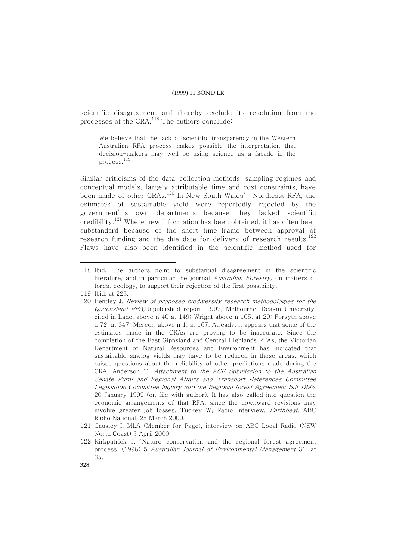scientific disagreement and thereby exclude its resolution from the processes of the CRA. $^{\rm 118}$  The authors conclude:

We believe that the lack of scientific transparency in the Western Australian RFA process makes possible the interpretation that decision-makers may well be using science as a façade in the process. 119

Similar criticisms of the data-collection methods, sampling regimes and conceptual models, largely attributable time and cost constraints, have been made of other CRAs.<sup>120</sup> In New South Wales' Northeast RFA, the estimates of sustainable yield were reportedly rejected by the government' s own departments because they lacked scientific credibility.<sup>121</sup> Where new information has been obtained, it has often been substandard because of the short time-frame between approval of research funding and the due date for delivery of research results. $^{122}$ Flaws have also been identified in the scientific method used for

<sup>118</sup> Ibid. The authors point to substantial disagreement in the scientific literature, and in particular the journal Australian Forestry, on matters of forest ecology, to support their rejection of the first possibility.

<sup>119</sup> Ibid, at 223.

<sup>120</sup> Bentley J, Review of proposed biodiversity research methodologies for the Queensland RFA,Unpublished report, 1997, Melbourne, Deakin University, cited in Lane, above n 40 at 149; Wright above n 105, at 29; Forsyth above n 72, at 347; Mercer, above n 1, at 167. Already, it appears that some of the estimates made in the CRAs are proving to be inaccurate. Since the completion of the East Gippsland and Central Highlands RFAs, the Victorian Department of Natural Resources and Environment has indicated that sustainable sawlog yields may have to be reduced in those areas, which raises questions about the reliability of other predictions made during the CRA. Anderson T, Attachment to the ACF Submission to the Australian Senate Rural and Regional Affairs and Transport References Committee Legislation Committee Inquiry into the Regional forest Agreement Bill 1998, 20 January 1999 (on file with author). It has also called into question the economic arrangements of that RFA, since the downward revisions may involve greater job losses. Tuckey W, Radio Interview, Earthbeat, ABC Radio National, 25 March 2000.

<sup>121</sup> Causley I, MLA (Member for Page), interview on ABC Local Radio (NSW North Coast) 3 April 2000.

<sup>122</sup> Kirkpatrick J, 'Nature conservation and the regional forest agreement process' (1998) 5 Australian Journal of Environmental Management 31, at 35.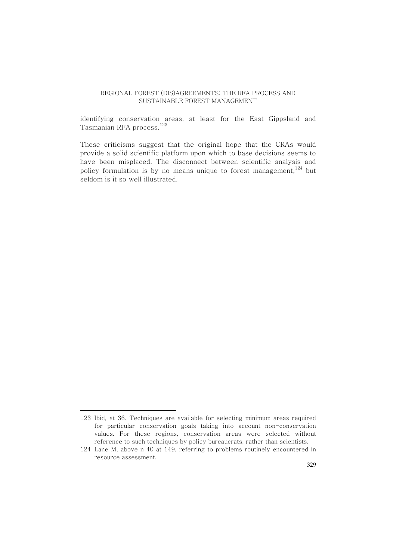identifying conservation areas, at least for the East Gippsland and Tasmanian RFA process. 123

These criticisms suggest that the original hope that the CRAs would provide a solid scientific platform upon which to base decisions seems to have been misplaced. The disconnect between scientific analysis and policy formulation is by no means unique to forest management, $^{\rm 124}$  but seldom is it so well illustrated.

<sup>123</sup> Ibid, at 36. Techniques are available for selecting minimum areas required for particular conservation goals taking into account non-conservation values. For these regions, conservation areas were selected without reference to such techniques by policy bureaucrats, rather than scientists.

<sup>124</sup> Lane M, above n 40 at 149, referring to problems routinely encountered in resource assessment.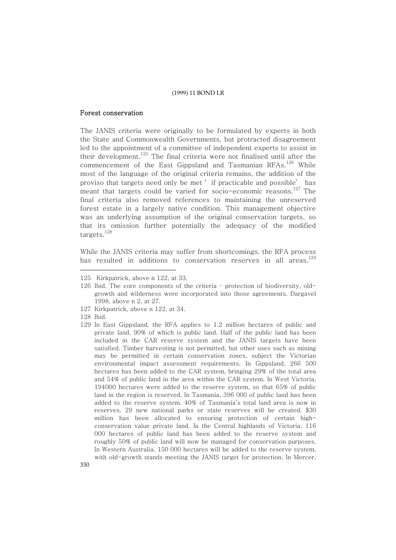#### Forest conservation

The JANIS criteria were originally to be formulated by experts in both the State and Commonwealth Governments, but protracted disagreement led to the appointment of a committee of independent experts to assist in their development.<sup>125</sup> The final criteria were not finalised until after the commencement of the East Gippsland and Tasmanian  $\mathrm{RFAs.}^{126}$  While most of the language of the original criteria remains, the addition of the proviso that targets need only be met ' if practicable and possible' has meant that targets could be varied for socio-economic reasons.<sup>127</sup> The final criteria also removed references to maintaining the unreserved forest estate in a largely native condition. This management objective was an underlying assumption of the original conservation targets, so that its omission further potentially the adequacy of the modified targets. 128

While the JANIS criteria may suffer from shortcomings, the RFA process has resulted in additions to conservation reserves in all areas. $^{129}$ 

- 127 Kirkpatrick, above n 122, at 34.
- 128 Ibid.
- 129 In East Gippsland, the RFA applies to 1.2 million hectares of public and private land, 90% of which is public land. Half of the public land has been included in the CAR reserve system and the JANIS targets have been satisfied. Timber harvesting is not permitted, but other uses such as mining may be permitted in certain conservation zones, subject the Victorian environmental impact assessment requirements. In Gippsland, 266 500 hectares has been added to the CAR system, bringing 29% of the total area and 54% of public land in the area within the CAR system. In West Victoria, 194000 hectares were added to the reserve system, so that 65% of public land in the region is reserved. In Tasmania, 396 000 of public land has been added to the reserve system. 40% of Tasmania's total land area is now in reserves. 29 new national parks or state reserves will be created. \$30 million has been allocated to ensuring protection of certain highconservation value private land. In the Central highlands of Victoria, 116 000 hectares of public land has been added to the reserve system and roughly 50% of public land will now be managed for conservation purposes. In Western Australia, 150 000 hectares will be added to the reserve system, with old-growth stands meeting the JANIS target for protection. In Mercer,

<sup>125</sup> Kirkpatrick, above n 122, at 33.

<sup>126</sup> Ibid. The core components of the criteria – protection of biodiversity, oldgrowth and wilderness were incorporated into those agreements. Dargavel 1998, above n 2, at 27.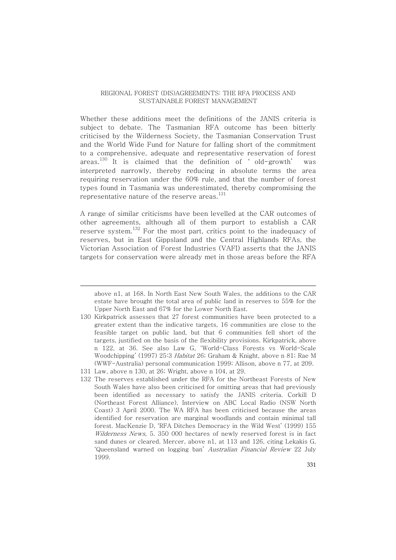Whether these additions meet the definitions of the JANIS criteria is subject to debate. The Tasmanian RFA outcome has been bitterly criticised by the Wilderness Society, the Tasmanian Conservation Trust and the World Wide Fund for Nature for falling short of the commitment to a comprehensive, adequate and representative reservation of forest areas. $^{130}$  It is claimed that the definition of 'old-growth' was interpreted narrowly, thereby reducing in absolute terms the area requiring reservation under the 60% rule, and that the number of forest types found in Tasmania was underestimated, thereby compromising the representative nature of the reserve areas. $^{\rm 131}$ 

A range of similar criticisms have been levelled at the CAR outcomes of other agreements, although all of them purport to establish a CAR reserve system.<sup>132</sup> For the most part, critics point to the inadequacy of reserves, but in East Gippsland and the Central Highlands RFAs, the Victorian Association of Forest Industries (VAFI) asserts that the JANIS targets for conservation were already met in those areas before the RFA

130 Kirkpatrick assesses that 27 forest communities have been protected to a greater extent than the indicative targets, 16 communities are close to the feasible target on public land, but that 6 communities fell short of the targets, justified on the basis of the flexibility provisions. Kirkpatrick, above n 122, at 36. See also Law G, 'World-Class Forests vs World-Scale Woodchipping' (1997) 25:3 Habitat 26; Graham & Knight, above n 81; Rae M (WWF-Australia) personal communication 1999; Allison, above n 77, at 209.

132 The reserves established under the RFA for the Northeast Forests of New South Wales have also been criticised for omitting areas that had previously been identified as necessary to satisfy the JANIS criteria. Corkill D (Northeast Forest Alliance), Interview on ABC Local Radio (NSW North Coast) 3 April 2000. The WA RFA has been criticised because the areas identified for reservation are marginal woodlands and contain minimal tall forest. MacKenzie D, 'RFA Ditches Democracy in the Wild West' (1999) 155 Wilderness News, 5. 350 000 hectares of newly reserved forest is in fact sand dunes or cleared. Mercer, above n1, at 113 and 126, citing Lekakis G, 'Queensland warned on logging ban' Australian Financial Review 22 July 1999.

above n1, at 168. In North East New South Wales, the additions to the CAR estate have brought the total area of public land in reserves to 55% for the Upper North East and 67% for the Lower North East.

<sup>131</sup> Law, above n 130, at 26; Wright, above n 104, at 29.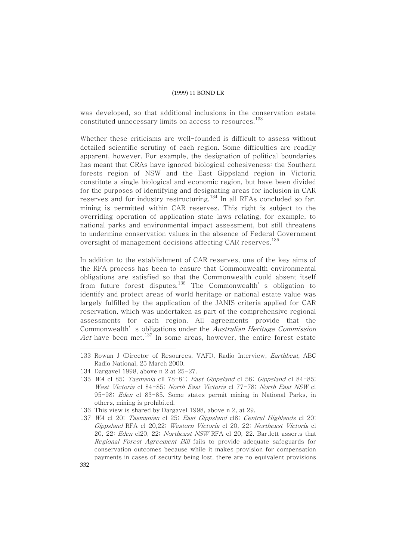was developed, so that additional inclusions in the conservation estate constituted unnecessary limits on access to resources. 133

Whether these criticisms are well-founded is difficult to assess without detailed scientific scrutiny of each region. Some difficulties are readily apparent, however. For example, the designation of political boundaries has meant that CRAs have ignored biological cohesiveness: the Southern forests region of NSW and the East Gippsland region in Victoria constitute a single biological and economic region, but have been divided for the purposes of identifying and designating areas for inclusion in CAR reserves and for industry restructuring. $^{134}$  In all RFAs concluded so far, mining is permitted within CAR reserves. This right is subject to the overriding operation of application state laws relating, for example, to national parks and environmental impact assessment, but still threatens to undermine conservation values in the absence of Federal Government oversight of management decisions affecting CAR reserves.  $^{135}$ 

In addition to the establishment of CAR reserves, one of the key aims of the RFA process has been to ensure that Commonwealth environmental obligations are satisfied so that the Commonwealth could absent itself from future forest disputes.<sup>136</sup> The Commonwealth's obligation to identify and protect areas of world heritage or national estate value was largely fulfilled by the application of the JANIS criteria applied for CAR reservation, which was undertaken as part of the comprehensive regional assessments for each region. All agreements provide that the Commonwealth's obligations under the Australian Heritage Commission *Act* have been met. $^{137}$  In some areas, however, the entire forest estate

136 This view is shared by Dargavel 1998, above n 2, at 29.

<sup>133</sup> Rowan J (Director of Resources, VAFI), Radio Interview, Earthbeat, ABC Radio National, 25 March 2000.

<sup>134</sup> Dargavel 1998, above n 2 at 25-27.

<sup>135</sup> WA cl 85; Tasmania cll 78-81; East Gippsland cl 56; Gippsland cl 84-85; West Victoria cl 84-85; North East Victoria cl 77-78; North East NSW cl 95-98; Eden cl 83-85. Some states permit mining in National Parks, in others, mining is prohibited.

<sup>137</sup> WA cl 20; Tasmanian cl 25; East Gippsland cl8; Central Highlands cl 20; Gippsland RFA cl 20,22; Western Victoria cl 20, 22; Northeast Victoria cl 20, 22; Eden cl20, 22; Northeast NSW RFA cl 20, 22. Bartlett asserts that Regional Forest Agreement Bill fails to provide adequate safeguards for conservation outcomes because while it makes provision for compensation payments in cases of security being lost, there are no equivalent provisions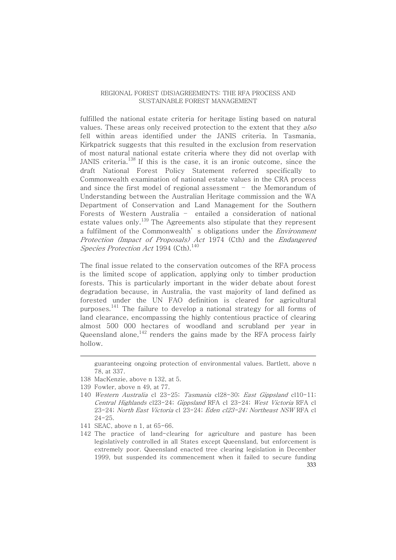fulfilled the national estate criteria for heritage listing based on natural values. These areas only received protection to the extent that they also fell within areas identified under the JANIS criteria. In Tasmania, Kirkpatrick suggests that this resulted in the exclusion from reservation of most natural national estate criteria where they did not overlap with JANIS criteria. $^\mathrm{138}$  If this is the case, it is an ironic outcome, since the draft National Forest Policy Statement referred specifically to Commonwealth examination of national estate values in the CRA process and since the first model of regional assessment – the Memorandum of Understanding between the Australian Heritage commission and the WA Department of Conservation and Land Management for the Southern Forests of Western Australia – entailed a consideration of national estate values only.<sup>139</sup> The Agreements also stipulate that they represent a fulfilment of the Commonwealth's obligations under the *Environment* Protection (Impact of Proposals) Act 1974 (Cth) and the Endangered Species Protection Act 1994 (Cth).  $^{140}$ 

The final issue related to the conservation outcomes of the RFA process is the limited scope of application, applying only to timber production forests. This is particularly important in the wider debate about forest degradation because, in Australia, the vast majority of land defined as forested under the UN FAO definition is cleared for agricultural purposes.<sup>141</sup> The failure to develop a national strategy for all forms of land clearance, encompassing the highly contentious practice of clearing almost 500 000 hectares of woodland and scrubland per year in Queensland alone, $^\mathrm{142}$  renders the gains made by the RFA process fairly hollow.

- 141 SEAC, above n 1, at 65-66.
- 333 142 The practice of land-clearing for agriculture and pasture has been legislatively controlled in all States except Queensland, but enforcement is extremely poor. Queensland enacted tree clearing legislation in December 1999, but suspended its commencement when it failed to secure funding

guaranteeing ongoing protection of environmental values. Bartlett, above n 78, at 337.

<sup>138</sup> MacKenzie, above n 132, at 5.

<sup>139</sup> Fowler, above n 49, at 77.

<sup>140</sup> Western Australia cl 23-25; Tasmania cl28-30; East Gippsland cl10-11; Central Highlands cl23-24; Gippsland RFA cl 23-24; West Victoria RFA cl 23-24; North East Victoria cl 23-24; Eden cl23-24; Northeast NSW RFA cl 24-25.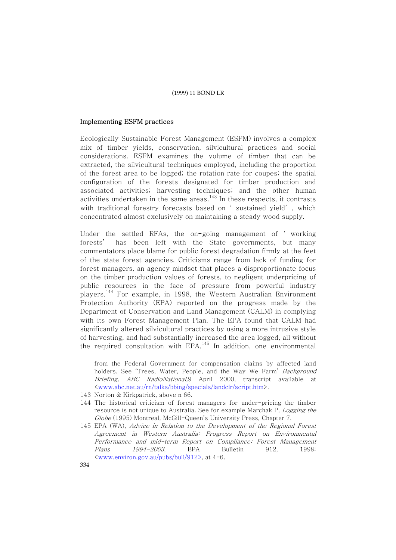#### Implementing ESFM practices

Ecologically Sustainable Forest Management (ESFM) involves a complex mix of timber yields, conservation, silvicultural practices and social considerations. ESFM examines the volume of timber that can be extracted, the silvicultural techniques employed, including the proportion of the forest area to be logged; the rotation rate for coupes; the spatial configuration of the forests designated for timber production and associated activities; harvesting techniques; and the other human activities undertaken in the same areas. $^{\rm 143}$  In these respects, it contrasts with traditional forestry forecasts based on ' sustained yield' , which concentrated almost exclusively on maintaining a steady wood supply.

Under the settled RFAs, the on-going management of ' working forests' has been left with the State governments, but many commentators place blame for public forest degradation firmly at the feet of the state forest agencies. Criticisms range from lack of funding for forest managers, an agency mindset that places a disproportionate focus on the timber production values of forests, to negligent underpricing of public resources in the face of pressure from powerful industry players. <sup>144</sup> For example, in 1998, the Western Australian Environment Protection Authority (EPA) reported on the progress made by the Department of Conservation and Land Management (CALM) in complying with its own Forest Management Plan. The EPA found that CALM had significantly altered silvicultural practices by using a more intrusive style of harvesting, and had substantially increased the area logged, all without the required consultation with  $\mathrm{EPA.}^\mathrm{145}$  In addition, one environmental

from the Federal Government for compensation claims by affected land holders. See 'Trees, Water, People, and the Way We Farm' Background Briefing, ABC RadioNational,9 April 2000, transcript available at <www.abc.net.au/rn/talks/bbing/specials/landclr/script.htm>.

- 143 Norton & Kirkpatrick, above n 66.
- 144 The historical criticism of forest managers for under-pricing the timber resource is not unique to Australia. See for example Marchak P, Logging the Globe (1995) Montreal, McGill-Queen's University Press, Chapter 7.
- 145 EPA (WA), Advice in Relation to the Development of the Regional Forest Agreement in Western Australia: Progress Report on Environmental Performance and mid-term Report on Compliance: Forest Management Plans 1994-2003, EPA Bulletin 912, 1998: <www.environ.gov.au/pubs/bull/912>, at 4-6.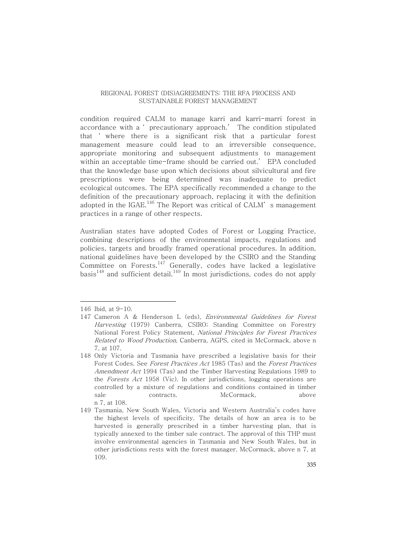condition required CALM to manage karri and karri-marri forest in accordance with a ' precautionary approach.' The condition stipulated that ' where there is a significant risk that a particular forest management measure could lead to an irreversible consequence, appropriate monitoring and subsequent adjustments to management within an acceptable time-frame should be carried out.' EPA concluded that the knowledge base upon which decisions about silvicultural and fire prescriptions were being determined was inadequate to predict ecological outcomes. The EPA specifically recommended a change to the definition of the precautionary approach, replacing it with the definition adopted in the IGAE. $^\mathrm{146}$  The Report was critical of CALM's management practices in a range of other respects.

Australian states have adopted Codes of Forest or Logging Practice, combining descriptions of the environmental impacts, regulations and policies, targets and broadly framed operational procedures. In addition, national guidelines have been developed by the CSIRO and the Standing Committee on Forests. $^{147}$  Generally, codes have lacked a legislative basis<sup>148</sup> and sufficient detail.<sup>149</sup> In most jurisdictions, codes do not apply

<sup>146</sup> Ibid, at 9-10.

<sup>147</sup> Cameron A & Henderson L (eds), Environmental Guidelines for Forest Harvesting (1979) Canberra, CSIRO; Standing Committee on Forestry National Forest Policy Statement, National Principles for Forest Practices Related to Wood Production, Canberra, AGPS, cited in McCormack, above n 7, at 107.

<sup>148</sup> Only Victoria and Tasmania have prescribed a legislative basis for their Forest Codes. See Forest Practices Act 1985 (Tas) and the Forest Practices Amendment Act 1994 (Tas) and the Timber Harvesting Regulations 1989 to the Forests Act 1958 (Vic). In other jurisdictions, logging operations are controlled by a mixture of regulations and conditions contained in timber sale contracts. McCormack, above n 7, at 108.

<sup>149</sup> Tasmania, New South Wales, Victoria and Western Australia's codes have the highest levels of specificity. The details of how an area is to be harvested is generally prescribed in a timber harvesting plan, that is typically annexed to the timber sale contract. The approval of this THP must involve environmental agencies in Tasmania and New South Wales, but in other jurisdictions rests with the forest manager. McCormack, above n 7, at 109.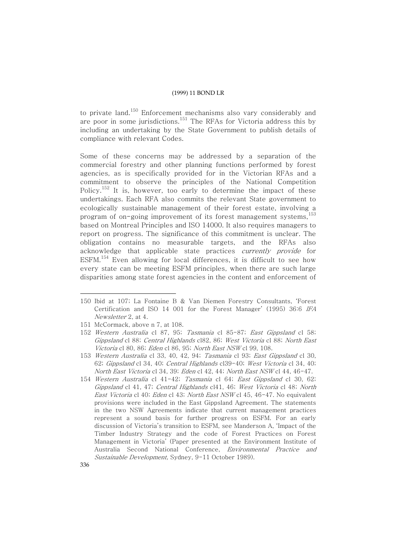to private land.<sup>150</sup> Enforcement mechanisms also vary considerably and are poor in some jurisdictions.<sup>151</sup> The RFAs for Victoria address this by including an undertaking by the State Government to publish details of compliance with relevant Codes.

Some of these concerns may be addressed by a separation of the commercial forestry and other planning functions performed by forest agencies, as is specifically provided for in the Victorian RFAs and a commitment to observe the principles of the National Competition Policy. $^{152}$  It is, however, too early to determine the impact of these undertakings. Each RFA also commits the relevant State government to ecologically sustainable management of their forest estate, involving a program of on-going improvement of its forest management systems, 153 based on Montreal Principles and ISO 14000. It also requires managers to report on progress. The significance of this commitment is unclear. The obligation contains no measurable targets, and the RFAs also acknowledge that applicable state practices *currently provide* for  $\mathrm{ESFM.}^{154}$  Even allowing for local differences, it is difficult to see how every state can be meeting ESFM principles, when there are such large disparities among state forest agencies in the content and enforcement of

<sup>150</sup> Ibid at 107; La Fontaine B & Van Diemen Forestry Consultants, 'Forest Certification and ISO 14 001 for the Forest Manager' (1995) 36:6 IFA Newsletter 2, at 4.

<sup>151</sup> McCormack, above n 7, at 108.

<sup>152</sup> Western Australia cl 87, 95; Tasmania cl 85-87; East Gippsland cl 58; Gippsland cl 88; Central Highlands cl82, 86; West Victoria cl 88; North East Victoria cl 80, 86; Eden cl 86, 95; North East NSW cl 99, 108.

<sup>153</sup> Western Australia cl 33, 40, 42, 94; Tasmania cl 93; East Gippsland cl 30, 62; Gippsland cl 34, 40; Central Highlands cl39-40; West Victoria cl 34, 40; North East Victoria cl 34, 39; Eden cl 42, 44; North East NSW cl 44, 46-47.

<sup>154</sup> Western Australia cl 41-42; Tasmania cl 64; East Gippsland cl 30, 62; Gippsland cl 41, 47; Central Highlands cl41, 46; West Victoria cl 48; North East Victoria cl 40; Eden cl 43; North East NSW cl 45, 46-47. No equivalent provisions were included in the East Gippsland Agreement. The statements in the two NSW Agreements indicate that current management practices represent a sound basis for further progress on ESFM. For an early discussion of Victoria's transition to ESFM, see Manderson A, 'Impact of the Timber Industry Strategy and the code of Forest Practices on Forest Management in Victoria' (Paper presented at the Environment Institute of Australia Second National Conference, Environmental Practice and Sustainable Development, Sydney, 9-11 October 1989).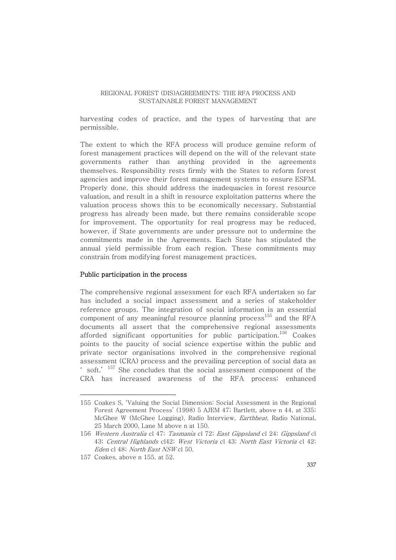harvesting codes of practice, and the types of harvesting that are permissible.

The extent to which the RFA process will produce genuine reform of forest management practices will depend on the will of the relevant state governments rather than anything provided in the agreements themselves. Responsibility rests firmly with the States to reform forest agencies and improve their forest management systems to ensure ESFM. Properly done, this should address the inadequacies in forest resource valuation, and result in a shift in resource exploitation patterns where the valuation process shows this to be economically necessary. Substantial progress has already been made, but there remains considerable scope for improvement. The opportunity for real progress may be reduced, however, if State governments are under pressure not to undermine the commitments made in the Agreements. Each State has stipulated the annual yield permissible from each region. These commitments may constrain from modifying forest management practices.

#### Public participation in the process

The comprehensive regional assessment for each RFA undertaken so far has included a social impact assessment and a series of stakeholder reference groups. The integration of social information is an essential component of any meaningful resource planning process<sup>155</sup> and the RFA documents all assert that the comprehensive regional assessments afforded significant opportunities for public participation. <sup>156</sup> Coakes points to the paucity of social science expertise within the public and private sector organisations involved in the comprehensive regional assessment (CRA) process and the prevailing perception of social data as ' soft.'  $^{157}$  She concludes that the social assessment component of the CRA has increased awareness of the RFA process; enhanced

<sup>155</sup> Coakes S, 'Valuing the Social Dimension: Social Assessment in the Regional Forest Agreement Process' (1998) 5 AJEM 47; Bartlett, above n 44, at 335; McGhee W (McGhee Logging), Radio Interview, Earthbeat, Radio National, 25 March 2000, Lane M above n at 150.

<sup>156</sup> Western Australia cl 47; Tasmania cl 72; East Gippsland cl 24; Gippsland cl 43; Central Highlands cl42; West Victoria cl 43; North East Victoria cl 42; Eden cl 48; North East NSW cl 50.

<sup>157</sup> Coakes, above n 155, at 52.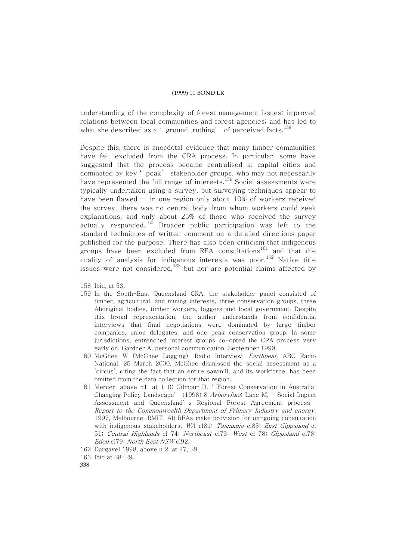understanding of the complexity of forest management issues; improved relations between local communities and forest agencies; and has led to what she described as a 'ground truthing' of perceived facts.  $^{158}$ 

Despite this, there is anecdotal evidence that many timber communities have felt excluded from the CRA process. In particular, some have suggested that the process became centralised in capital cities and dominated by key ' peak' stakeholder groups, who may not necessarily have represented the full range of interests.<sup>159</sup> Social assessments were typically undertaken using a survey, but surveying techniques appear to have been flawed – in one region only about 10% of workers received the survey, there was no central body from whom workers could seek explanations, and only about 25% of those who received the survey actually responded.<sup>160</sup> Broader public participation was left to the standard techniques of written comment on a detailed directions paper published for the purpose. There has also been criticism that indigenous groups have been excluded from RFA consultations<sup>161</sup> and that the quality of analysis for indigenous interests was poor. <sup>162</sup> Native title issues were not considered, $^{163}$  but nor are potential claims affected by

161 Mercer, above n1, at 110; Gilmour D, ' Forest Conservation in Australia: Changing Policy Landscape' (1998) 8 Arborvitae; Lane M, ' Social Impact Assessment and Queensland' s Regional Forest Agreement process' Report to the Commonwealth Department of Primary Industry and energy, 1997, Melbourne, RMIT. All RFAs make provision for on-going consultation with indigenous stakeholders. WA cl81; Tasmania cl83; East Gippsland cl 51; Central Highlands cl 74; Northeast cl73; West cl 78; Gippsland cl78; Eden cl79; North East NSW cl92.

338

<sup>158</sup> Ibid, at 53.

<sup>159</sup> In the South-East Queensland CRA, the stakeholder panel consisted of timber, agricultural, and mining interests, three conservation groups, three Aboriginal bodies, timber workers, loggers and local government. Despite this broad representation, the author understands from confidential interviews that final negotiations were dominated by large timber companies, union delegates, and one peak conservation group. In some jurisdictions, entrenched interest groups co-opted the CRA process very early on. Gardner A, personal communication, September 1999.

<sup>160</sup> McGhee W (McGhee Logging), Radio Interview, Earthbeat, ABC Radio National, 25 March 2000. McGhee dismissed the social assessment as a 'circus', citing the fact that an entire sawmill, and its workforce, has been omitted from the data collection for that region.

<sup>162</sup> Dargavel 1998, above n 2, at 27, 29.

<sup>163</sup> Ibid at 28-29.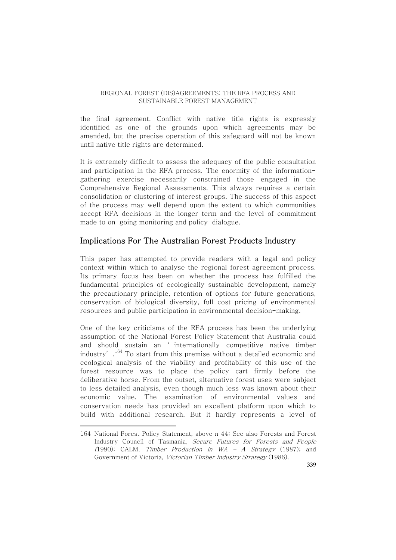the final agreement. Conflict with native title rights is expressly identified as one of the grounds upon which agreements may be amended, but the precise operation of this safeguard will not be known until native title rights are determined.

It is extremely difficult to assess the adequacy of the public consultation and participation in the RFA process. The enormity of the informationgathering exercise necessarily constrained those engaged in the Comprehensive Regional Assessments. This always requires a certain consolidation or clustering of interest groups. The success of this aspect of the process may well depend upon the extent to which communities accept RFA decisions in the longer term and the level of commitment made to on-going monitoring and policy-dialogue.

## Implications For The Australian Forest Products Industry

This paper has attempted to provide readers with a legal and policy context within which to analyse the regional forest agreement process. Its primary focus has been on whether the process has fulfilled the fundamental principles of ecologically sustainable development, namely the precautionary principle, retention of options for future generations, conservation of biological diversity, full cost pricing of environmental resources and public participation in environmental decision-making.

One of the key criticisms of the RFA process has been the underlying assumption of the National Forest Policy Statement that Australia could and should sustain an ' internationally competitive native timber industry'. $^{164}$  To start from this premise without a detailed economic and ecological analysis of the viability and profitability of this use of the forest resource was to place the policy cart firmly before the deliberative horse. From the outset, alternative forest uses were subject to less detailed analysis, even though much less was known about their economic value. The examination of environmental values and conservation needs has provided an excellent platform upon which to build with additional research. But it hardly represents a level of

<sup>164</sup> National Forest Policy Statement, above n 44; See also Forests and Forest Industry Council of Tasmania, Secure Futures for Forests and People (1990); CALM, Timber Production in  $WA - A$  Strategy (1987); and Government of Victoria, Victorian Timber Industry Strategy (1986).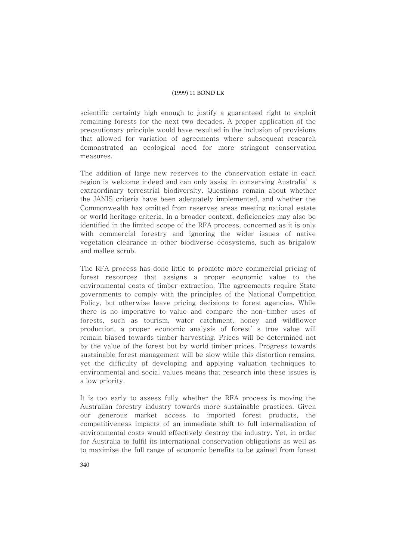scientific certainty high enough to justify a guaranteed right to exploit remaining forests for the next two decades. A proper application of the precautionary principle would have resulted in the inclusion of provisions that allowed for variation of agreements where subsequent research demonstrated an ecological need for more stringent conservation measures.

The addition of large new reserves to the conservation estate in each region is welcome indeed and can only assist in conserving Australia' s extraordinary terrestrial biodiversity. Questions remain about whether the JANIS criteria have been adequately implemented, and whether the Commonwealth has omitted from reserves areas meeting national estate or world heritage criteria. In a broader context, deficiencies may also be identified in the limited scope of the RFA process, concerned as it is only with commercial forestry and ignoring the wider issues of native vegetation clearance in other biodiverse ecosystems, such as brigalow and mallee scrub.

The RFA process has done little to promote more commercial pricing of forest resources that assigns a proper economic value to the environmental costs of timber extraction. The agreements require State governments to comply with the principles of the National Competition Policy, but otherwise leave pricing decisions to forest agencies. While there is no imperative to value and compare the non-timber uses of forests, such as tourism, water catchment, honey and wildflower production, a proper economic analysis of forest' s true value will remain biased towards timber harvesting. Prices will be determined not by the value of the forest but by world timber prices. Progress towards sustainable forest management will be slow while this distortion remains, yet the difficulty of developing and applying valuation techniques to environmental and social values means that research into these issues is a low priority.

It is too early to assess fully whether the RFA process is moving the Australian forestry industry towards more sustainable practices. Given our generous market access to imported forest products, the competitiveness impacts of an immediate shift to full internalisation of environmental costs would effectively destroy the industry. Yet, in order for Australia to fulfil its international conservation obligations as well as to maximise the full range of economic benefits to be gained from forest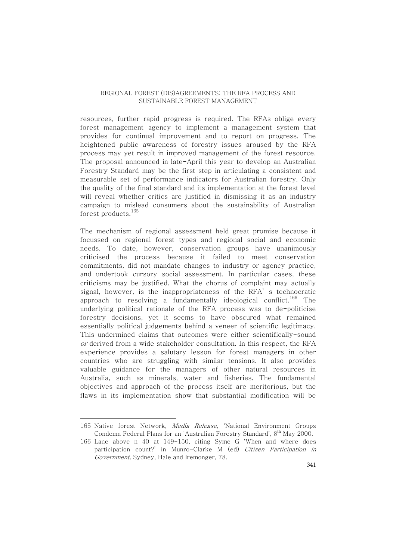resources, further rapid progress is required. The RFAs oblige every forest management agency to implement a management system that provides for continual improvement and to report on progress. The heightened public awareness of forestry issues aroused by the RFA process may yet result in improved management of the forest resource. The proposal announced in late-April this year to develop an Australian Forestry Standard may be the first step in articulating a consistent and measurable set of performance indicators for Australian forestry. Only the quality of the final standard and its implementation at the forest level will reveal whether critics are justified in dismissing it as an industry campaign to mislead consumers about the sustainability of Australian forest products. 165

The mechanism of regional assessment held great promise because it focussed on regional forest types and regional social and economic needs. To date, however, conservation groups have unanimously criticised the process because it failed to meet conservation commitments, did not mandate changes to industry or agency practice, and undertook cursory social assessment. In particular cases, these criticisms may be justified. What the chorus of complaint may actually signal, however, is the inappropriateness of the RFA' s technocratic approach to resolving a fundamentally ideological conflict.<sup>166</sup> The underlying political rationale of the RFA process was to de-politicise forestry decisions, yet it seems to have obscured what remained essentially political judgements behind a veneer of scientific legitimacy. This undermined claims that outcomes were either scientifically-sound or derived from a wide stakeholder consultation. In this respect, the RFA experience provides a salutary lesson for forest managers in other countries who are struggling with similar tensions. It also provides valuable guidance for the managers of other natural resources in Australia, such as minerals, water and fisheries. The fundamental objectives and approach of the process itself are meritorious, but the flaws in its implementation show that substantial modification will be

<sup>165</sup> Native forest Network, Media Release, 'National Environment Groups Condemn Federal Plans for an 'Australian Forestry Standard', 8<sup>th</sup> May 2000.

<sup>166</sup> Lane above n 40 at 149-150, citing Syme G 'When and where does participation count?' in Munro-Clarke M (ed) Citizen Participation in Government, Sydney, Hale and Iremonger, 78.